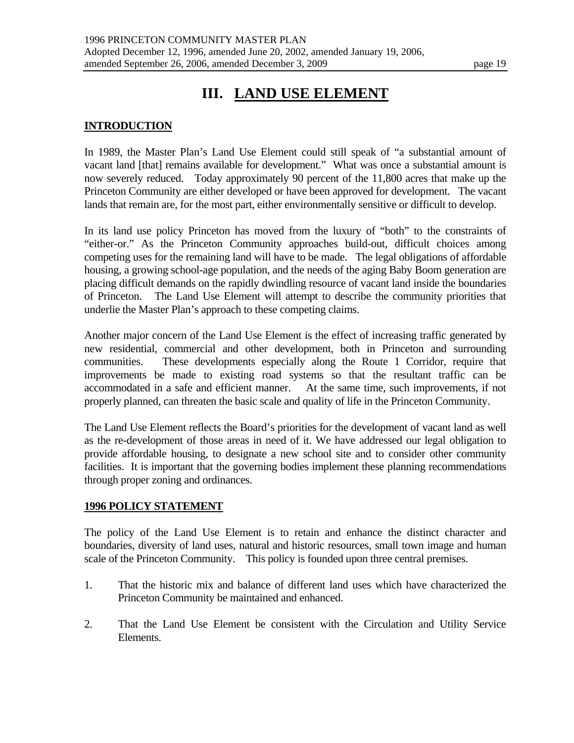# **III. LAND USE ELEMENT**

#### **INTRODUCTION**

In 1989, the Master Plan's Land Use Element could still speak of "a substantial amount of vacant land [that] remains available for development." What was once a substantial amount is now severely reduced. Today approximately 90 percent of the 11,800 acres that make up the Princeton Community are either developed or have been approved for development. The vacant lands that remain are, for the most part, either environmentally sensitive or difficult to develop.

In its land use policy Princeton has moved from the luxury of "both" to the constraints of "either-or." As the Princeton Community approaches build-out, difficult choices among competing uses for the remaining land will have to be made. The legal obligations of affordable housing, a growing school-age population, and the needs of the aging Baby Boom generation are placing difficult demands on the rapidly dwindling resource of vacant land inside the boundaries of Princeton. The Land Use Element will attempt to describe the community priorities that underlie the Master Plan's approach to these competing claims.

Another major concern of the Land Use Element is the effect of increasing traffic generated by new residential, commercial and other development, both in Princeton and surrounding communities. These developments especially along the Route 1 Corridor, require that improvements be made to existing road systems so that the resultant traffic can be accommodated in a safe and efficient manner. At the same time, such improvements, if not properly planned, can threaten the basic scale and quality of life in the Princeton Community.

The Land Use Element reflects the Board's priorities for the development of vacant land as well as the re-development of those areas in need of it. We have addressed our legal obligation to provide affordable housing, to designate a new school site and to consider other community facilities. It is important that the governing bodies implement these planning recommendations through proper zoning and ordinances.

#### **1996 POLICY STATEMENT**

The policy of the Land Use Element is to retain and enhance the distinct character and boundaries, diversity of land uses, natural and historic resources, small town image and human scale of the Princeton Community. This policy is founded upon three central premises.

- 1. That the historic mix and balance of different land uses which have characterized the Princeton Community be maintained and enhanced.
- 2. That the Land Use Element be consistent with the Circulation and Utility Service Elements.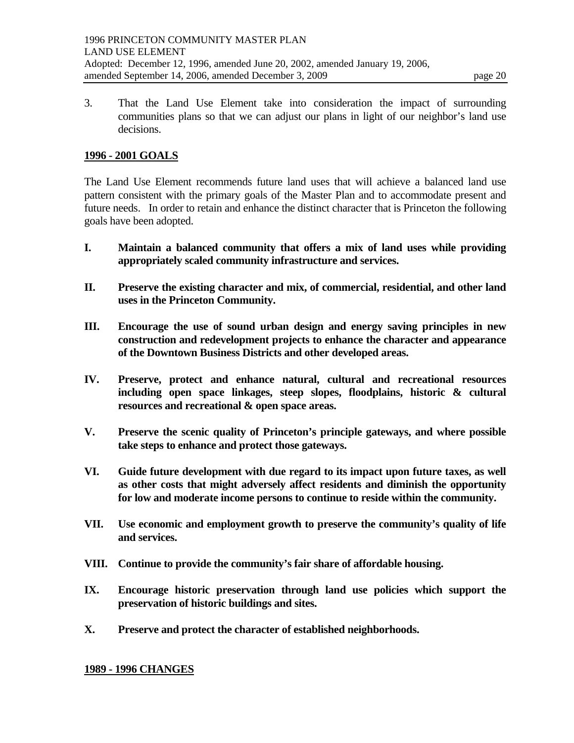3. That the Land Use Element take into consideration the impact of surrounding communities plans so that we can adjust our plans in light of our neighbor's land use decisions.

#### **1996 - 2001 GOALS**

The Land Use Element recommends future land uses that will achieve a balanced land use pattern consistent with the primary goals of the Master Plan and to accommodate present and future needs. In order to retain and enhance the distinct character that is Princeton the following goals have been adopted.

- **I. Maintain a balanced community that offers a mix of land uses while providing appropriately scaled community infrastructure and services.**
- **II. Preserve the existing character and mix, of commercial, residential, and other land uses in the Princeton Community.**
- **III. Encourage the use of sound urban design and energy saving principles in new construction and redevelopment projects to enhance the character and appearance of the Downtown Business Districts and other developed areas.**
- **IV. Preserve, protect and enhance natural, cultural and recreational resources including open space linkages, steep slopes, floodplains, historic & cultural resources and recreational & open space areas.**
- **V. Preserve the scenic quality of Princeton's principle gateways, and where possible take steps to enhance and protect those gateways.**
- **VI. Guide future development with due regard to its impact upon future taxes, as well as other costs that might adversely affect residents and diminish the opportunity for low and moderate income persons to continue to reside within the community.**
- **VII. Use economic and employment growth to preserve the community's quality of life and services.**
- **VIII. Continue to provide the community's fair share of affordable housing.**
- **IX. Encourage historic preservation through land use policies which support the preservation of historic buildings and sites.**
- **X. Preserve and protect the character of established neighborhoods.**

#### **1989 - 1996 CHANGES**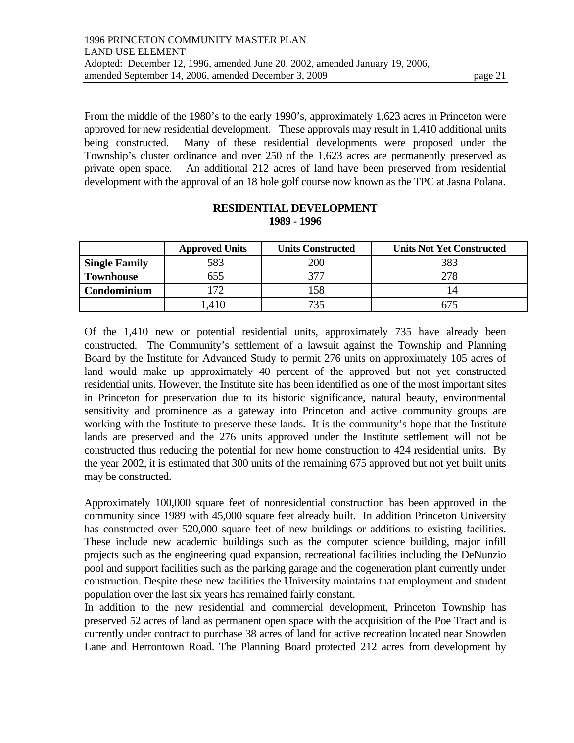From the middle of the 1980's to the early 1990's, approximately 1,623 acres in Princeton were approved for new residential development. These approvals may result in 1,410 additional units being constructed. Many of these residential developments were proposed under the Township's cluster ordinance and over 250 of the 1,623 acres are permanently preserved as private open space. An additional 212 acres of land have been preserved from residential development with the approval of an 18 hole golf course now known as the TPC at Jasna Polana.

|                      | <b>Approved Units</b> | <b>Units Constructed</b> | <b>Units Not Yet Constructed</b> |
|----------------------|-----------------------|--------------------------|----------------------------------|
| <b>Single Family</b> | 583                   | 200                      | 383                              |
| <b>Townhouse</b>     | 555                   |                          |                                  |
| Condominium          | 72                    |                          |                                  |
|                      |                       |                          |                                  |

#### **RESIDENTIAL DEVELOPMENT 1989 - 1996**

Of the 1,410 new or potential residential units, approximately 735 have already been constructed. The Community's settlement of a lawsuit against the Township and Planning Board by the Institute for Advanced Study to permit 276 units on approximately 105 acres of land would make up approximately 40 percent of the approved but not yet constructed residential units. However, the Institute site has been identified as one of the most important sites in Princeton for preservation due to its historic significance, natural beauty, environmental sensitivity and prominence as a gateway into Princeton and active community groups are working with the Institute to preserve these lands. It is the community's hope that the Institute lands are preserved and the 276 units approved under the Institute settlement will not be constructed thus reducing the potential for new home construction to 424 residential units. By the year 2002, it is estimated that 300 units of the remaining 675 approved but not yet built units may be constructed.

Approximately 100,000 square feet of nonresidential construction has been approved in the community since 1989 with 45,000 square feet already built. In addition Princeton University has constructed over 520,000 square feet of new buildings or additions to existing facilities. These include new academic buildings such as the computer science building, major infill projects such as the engineering quad expansion, recreational facilities including the DeNunzio pool and support facilities such as the parking garage and the cogeneration plant currently under construction. Despite these new facilities the University maintains that employment and student population over the last six years has remained fairly constant.

In addition to the new residential and commercial development, Princeton Township has preserved 52 acres of land as permanent open space with the acquisition of the Poe Tract and is currently under contract to purchase 38 acres of land for active recreation located near Snowden Lane and Herrontown Road. The Planning Board protected 212 acres from development by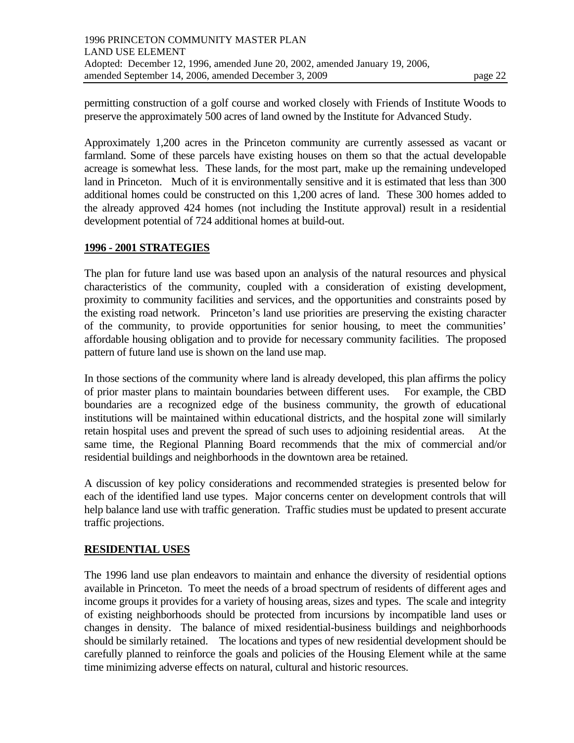permitting construction of a golf course and worked closely with Friends of Institute Woods to preserve the approximately 500 acres of land owned by the Institute for Advanced Study.

Approximately 1,200 acres in the Princeton community are currently assessed as vacant or farmland. Some of these parcels have existing houses on them so that the actual developable acreage is somewhat less. These lands, for the most part, make up the remaining undeveloped land in Princeton. Much of it is environmentally sensitive and it is estimated that less than 300 additional homes could be constructed on this 1,200 acres of land. These 300 homes added to the already approved 424 homes (not including the Institute approval) result in a residential development potential of 724 additional homes at build-out.

### **1996 - 2001 STRATEGIES**

The plan for future land use was based upon an analysis of the natural resources and physical characteristics of the community, coupled with a consideration of existing development, proximity to community facilities and services, and the opportunities and constraints posed by the existing road network. Princeton's land use priorities are preserving the existing character of the community, to provide opportunities for senior housing, to meet the communities' affordable housing obligation and to provide for necessary community facilities. The proposed pattern of future land use is shown on the land use map.

In those sections of the community where land is already developed, this plan affirms the policy of prior master plans to maintain boundaries between different uses. For example, the CBD boundaries are a recognized edge of the business community, the growth of educational institutions will be maintained within educational districts, and the hospital zone will similarly retain hospital uses and prevent the spread of such uses to adjoining residential areas. At the same time, the Regional Planning Board recommends that the mix of commercial and/or residential buildings and neighborhoods in the downtown area be retained.

A discussion of key policy considerations and recommended strategies is presented below for each of the identified land use types. Major concerns center on development controls that will help balance land use with traffic generation. Traffic studies must be updated to present accurate traffic projections.

### **RESIDENTIAL USES**

The 1996 land use plan endeavors to maintain and enhance the diversity of residential options available in Princeton. To meet the needs of a broad spectrum of residents of different ages and income groups it provides for a variety of housing areas, sizes and types. The scale and integrity of existing neighborhoods should be protected from incursions by incompatible land uses or changes in density. The balance of mixed residential-business buildings and neighborhoods should be similarly retained. The locations and types of new residential development should be carefully planned to reinforce the goals and policies of the Housing Element while at the same time minimizing adverse effects on natural, cultural and historic resources.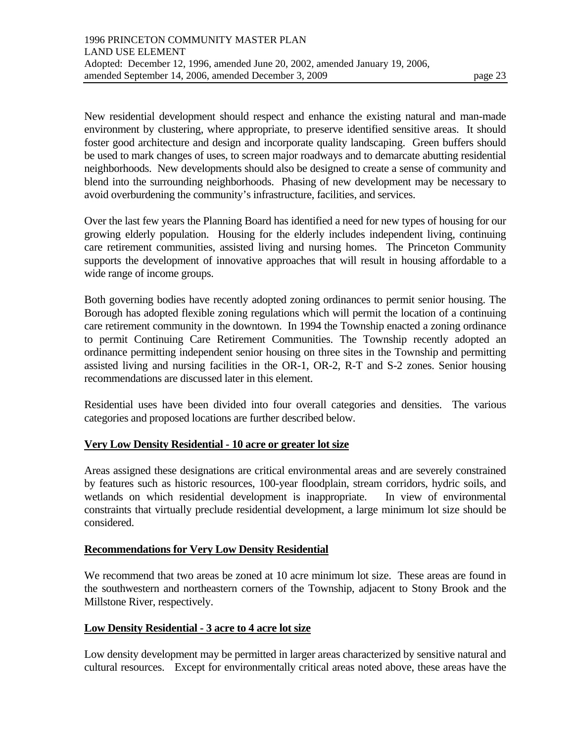New residential development should respect and enhance the existing natural and man-made environment by clustering, where appropriate, to preserve identified sensitive areas. It should foster good architecture and design and incorporate quality landscaping. Green buffers should be used to mark changes of uses, to screen major roadways and to demarcate abutting residential neighborhoods. New developments should also be designed to create a sense of community and blend into the surrounding neighborhoods. Phasing of new development may be necessary to avoid overburdening the community's infrastructure, facilities, and services.

Over the last few years the Planning Board has identified a need for new types of housing for our growing elderly population. Housing for the elderly includes independent living, continuing care retirement communities, assisted living and nursing homes. The Princeton Community supports the development of innovative approaches that will result in housing affordable to a wide range of income groups.

Both governing bodies have recently adopted zoning ordinances to permit senior housing. The Borough has adopted flexible zoning regulations which will permit the location of a continuing care retirement community in the downtown. In 1994 the Township enacted a zoning ordinance to permit Continuing Care Retirement Communities. The Township recently adopted an ordinance permitting independent senior housing on three sites in the Township and permitting assisted living and nursing facilities in the OR-1, OR-2, R-T and S-2 zones. Senior housing recommendations are discussed later in this element.

Residential uses have been divided into four overall categories and densities. The various categories and proposed locations are further described below.

#### **Very Low Density Residential - 10 acre or greater lot size**

Areas assigned these designations are critical environmental areas and are severely constrained by features such as historic resources, 100-year floodplain, stream corridors, hydric soils, and wetlands on which residential development is inappropriate. In view of environmental constraints that virtually preclude residential development, a large minimum lot size should be considered.

#### **Recommendations for Very Low Density Residential**

We recommend that two areas be zoned at 10 acre minimum lot size. These areas are found in the southwestern and northeastern corners of the Township, adjacent to Stony Brook and the Millstone River, respectively.

#### **Low Density Residential - 3 acre to 4 acre lot size**

Low density development may be permitted in larger areas characterized by sensitive natural and cultural resources. Except for environmentally critical areas noted above, these areas have the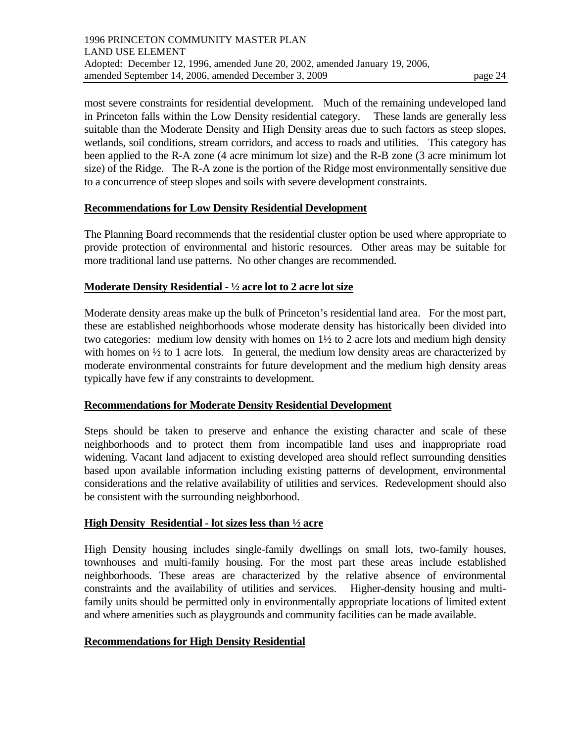most severe constraints for residential development. Much of the remaining undeveloped land in Princeton falls within the Low Density residential category. These lands are generally less suitable than the Moderate Density and High Density areas due to such factors as steep slopes, wetlands, soil conditions, stream corridors, and access to roads and utilities. This category has been applied to the R-A zone (4 acre minimum lot size) and the R-B zone (3 acre minimum lot size) of the Ridge. The R-A zone is the portion of the Ridge most environmentally sensitive due to a concurrence of steep slopes and soils with severe development constraints.

#### **Recommendations for Low Density Residential Development**

The Planning Board recommends that the residential cluster option be used where appropriate to provide protection of environmental and historic resources. Other areas may be suitable for more traditional land use patterns. No other changes are recommended.

#### **Moderate Density Residential - ½ acre lot to 2 acre lot size**

Moderate density areas make up the bulk of Princeton's residential land area. For the most part, these are established neighborhoods whose moderate density has historically been divided into two categories: medium low density with homes on 1½ to 2 acre lots and medium high density with homes on  $\frac{1}{2}$  to 1 acre lots. In general, the medium low density areas are characterized by moderate environmental constraints for future development and the medium high density areas typically have few if any constraints to development.

### **Recommendations for Moderate Density Residential Development**

Steps should be taken to preserve and enhance the existing character and scale of these neighborhoods and to protect them from incompatible land uses and inappropriate road widening. Vacant land adjacent to existing developed area should reflect surrounding densities based upon available information including existing patterns of development, environmental considerations and the relative availability of utilities and services. Redevelopment should also be consistent with the surrounding neighborhood.

### **High Density Residential - lot sizes less than ½ acre**

High Density housing includes single-family dwellings on small lots, two-family houses, townhouses and multi-family housing. For the most part these areas include established neighborhoods. These areas are characterized by the relative absence of environmental constraints and the availability of utilities and services. Higher-density housing and multifamily units should be permitted only in environmentally appropriate locations of limited extent and where amenities such as playgrounds and community facilities can be made available.

### **Recommendations for High Density Residential**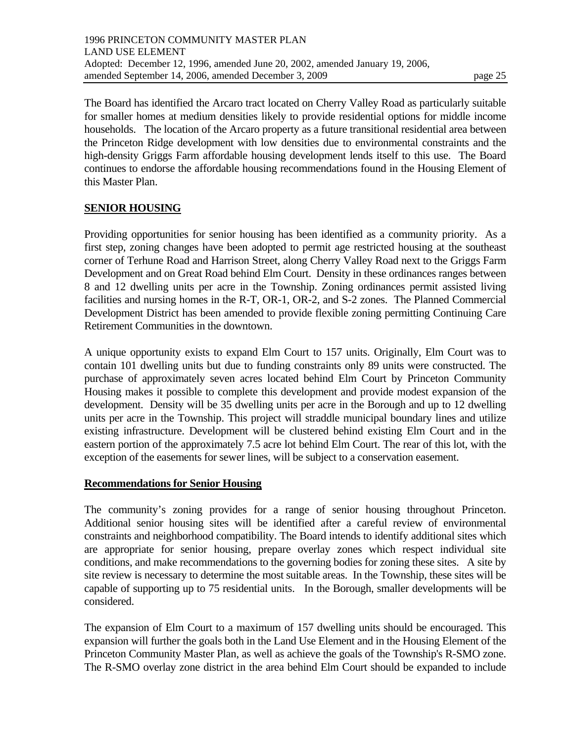The Board has identified the Arcaro tract located on Cherry Valley Road as particularly suitable for smaller homes at medium densities likely to provide residential options for middle income households. The location of the Arcaro property as a future transitional residential area between the Princeton Ridge development with low densities due to environmental constraints and the high-density Griggs Farm affordable housing development lends itself to this use. The Board continues to endorse the affordable housing recommendations found in the Housing Element of this Master Plan.

### **SENIOR HOUSING**

Providing opportunities for senior housing has been identified as a community priority. As a first step, zoning changes have been adopted to permit age restricted housing at the southeast corner of Terhune Road and Harrison Street, along Cherry Valley Road next to the Griggs Farm Development and on Great Road behind Elm Court. Density in these ordinances ranges between 8 and 12 dwelling units per acre in the Township. Zoning ordinances permit assisted living facilities and nursing homes in the R-T, OR-1, OR-2, and S-2 zones. The Planned Commercial Development District has been amended to provide flexible zoning permitting Continuing Care Retirement Communities in the downtown.

A unique opportunity exists to expand Elm Court to 157 units. Originally, Elm Court was to contain 101 dwelling units but due to funding constraints only 89 units were constructed. The purchase of approximately seven acres located behind Elm Court by Princeton Community Housing makes it possible to complete this development and provide modest expansion of the development. Density will be 35 dwelling units per acre in the Borough and up to 12 dwelling units per acre in the Township. This project will straddle municipal boundary lines and utilize existing infrastructure. Development will be clustered behind existing Elm Court and in the eastern portion of the approximately 7.5 acre lot behind Elm Court. The rear of this lot, with the exception of the easements for sewer lines, will be subject to a conservation easement.

#### **Recommendations for Senior Housing**

The community's zoning provides for a range of senior housing throughout Princeton. Additional senior housing sites will be identified after a careful review of environmental constraints and neighborhood compatibility. The Board intends to identify additional sites which are appropriate for senior housing, prepare overlay zones which respect individual site conditions, and make recommendations to the governing bodies for zoning these sites. A site by site review is necessary to determine the most suitable areas. In the Township, these sites will be capable of supporting up to 75 residential units. In the Borough, smaller developments will be considered.

The expansion of Elm Court to a maximum of 157 dwelling units should be encouraged. This expansion will further the goals both in the Land Use Element and in the Housing Element of the Princeton Community Master Plan, as well as achieve the goals of the Township's R-SMO zone. The R-SMO overlay zone district in the area behind Elm Court should be expanded to include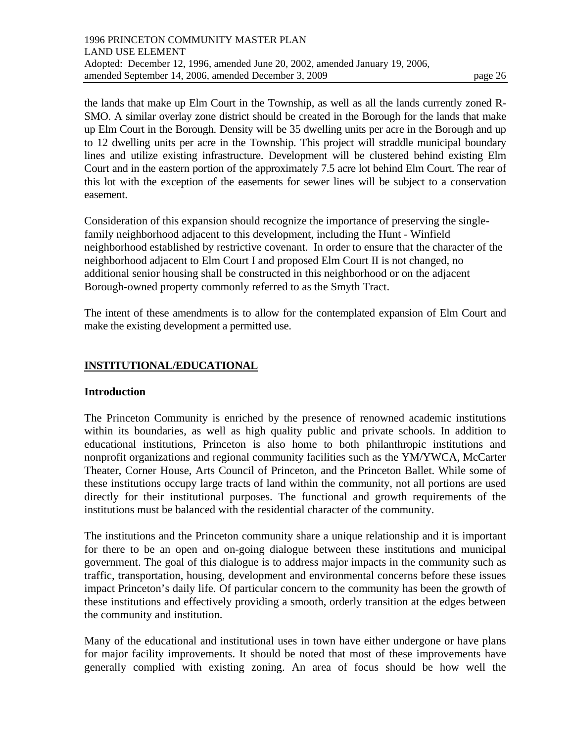the lands that make up Elm Court in the Township, as well as all the lands currently zoned R-SMO. A similar overlay zone district should be created in the Borough for the lands that make up Elm Court in the Borough. Density will be 35 dwelling units per acre in the Borough and up to 12 dwelling units per acre in the Township. This project will straddle municipal boundary lines and utilize existing infrastructure. Development will be clustered behind existing Elm Court and in the eastern portion of the approximately 7.5 acre lot behind Elm Court. The rear of this lot with the exception of the easements for sewer lines will be subject to a conservation easement.

Consideration of this expansion should recognize the importance of preserving the singlefamily neighborhood adjacent to this development, including the Hunt - Winfield neighborhood established by restrictive covenant. In order to ensure that the character of the neighborhood adjacent to Elm Court I and proposed Elm Court II is not changed, no additional senior housing shall be constructed in this neighborhood or on the adjacent Borough-owned property commonly referred to as the Smyth Tract.

The intent of these amendments is to allow for the contemplated expansion of Elm Court and make the existing development a permitted use.

### **INSTITUTIONAL/EDUCATIONAL**

#### **Introduction**

The Princeton Community is enriched by the presence of renowned academic institutions within its boundaries, as well as high quality public and private schools. In addition to educational institutions, Princeton is also home to both philanthropic institutions and nonprofit organizations and regional community facilities such as the YM/YWCA, McCarter Theater, Corner House, Arts Council of Princeton, and the Princeton Ballet. While some of these institutions occupy large tracts of land within the community, not all portions are used directly for their institutional purposes. The functional and growth requirements of the institutions must be balanced with the residential character of the community.

The institutions and the Princeton community share a unique relationship and it is important for there to be an open and on-going dialogue between these institutions and municipal government. The goal of this dialogue is to address major impacts in the community such as traffic, transportation, housing, development and environmental concerns before these issues impact Princeton's daily life. Of particular concern to the community has been the growth of these institutions and effectively providing a smooth, orderly transition at the edges between the community and institution.

Many of the educational and institutional uses in town have either undergone or have plans for major facility improvements. It should be noted that most of these improvements have generally complied with existing zoning. An area of focus should be how well the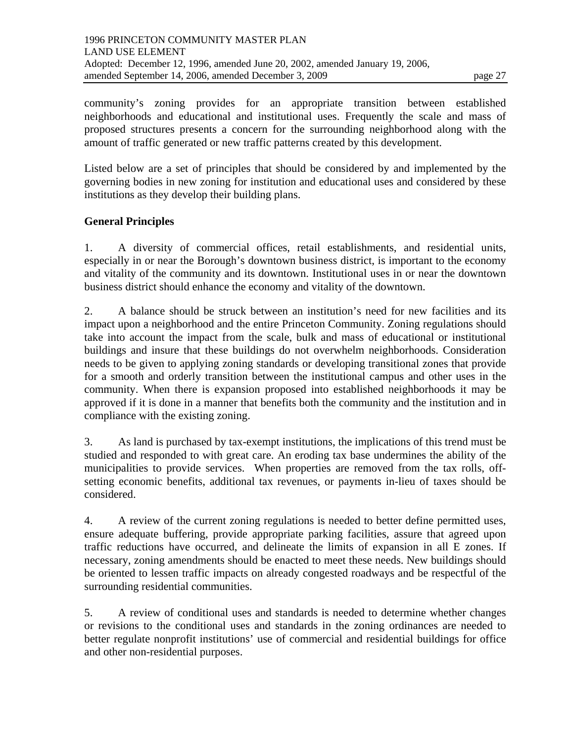community's zoning provides for an appropriate transition between established neighborhoods and educational and institutional uses. Frequently the scale and mass of proposed structures presents a concern for the surrounding neighborhood along with the amount of traffic generated or new traffic patterns created by this development.

Listed below are a set of principles that should be considered by and implemented by the governing bodies in new zoning for institution and educational uses and considered by these institutions as they develop their building plans.

## **General Principles**

1. A diversity of commercial offices, retail establishments, and residential units, especially in or near the Borough's downtown business district, is important to the economy and vitality of the community and its downtown. Institutional uses in or near the downtown business district should enhance the economy and vitality of the downtown.

2. A balance should be struck between an institution's need for new facilities and its impact upon a neighborhood and the entire Princeton Community. Zoning regulations should take into account the impact from the scale, bulk and mass of educational or institutional buildings and insure that these buildings do not overwhelm neighborhoods. Consideration needs to be given to applying zoning standards or developing transitional zones that provide for a smooth and orderly transition between the institutional campus and other uses in the community. When there is expansion proposed into established neighborhoods it may be approved if it is done in a manner that benefits both the community and the institution and in compliance with the existing zoning.

3. As land is purchased by tax-exempt institutions, the implications of this trend must be studied and responded to with great care. An eroding tax base undermines the ability of the municipalities to provide services. When properties are removed from the tax rolls, offsetting economic benefits, additional tax revenues, or payments in-lieu of taxes should be considered.

4. A review of the current zoning regulations is needed to better define permitted uses, ensure adequate buffering, provide appropriate parking facilities, assure that agreed upon traffic reductions have occurred, and delineate the limits of expansion in all E zones. If necessary, zoning amendments should be enacted to meet these needs. New buildings should be oriented to lessen traffic impacts on already congested roadways and be respectful of the surrounding residential communities.

5. A review of conditional uses and standards is needed to determine whether changes or revisions to the conditional uses and standards in the zoning ordinances are needed to better regulate nonprofit institutions' use of commercial and residential buildings for office and other non-residential purposes.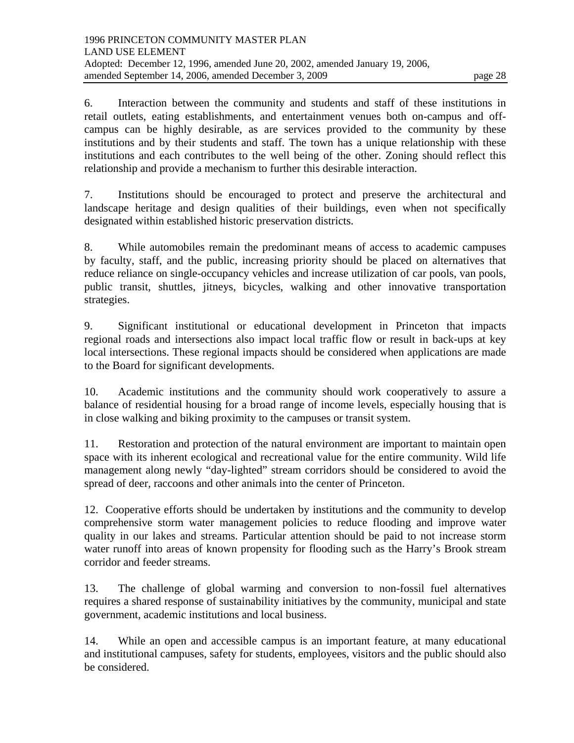campus can be highly desirable, as are services provided to the community by these institutions and by their students and staff. The town has a unique relationship with these institutions and each contributes to the well being of the other. Zoning should reflect this relationship and provide a mechanism to further this desirable interaction.

7. Institutions should be encouraged to protect and preserve the architectural and landscape heritage and design qualities of their buildings, even when not specifically designated within established historic preservation districts.

8. While automobiles remain the predominant means of access to academic campuses by faculty, staff, and the public, increasing priority should be placed on alternatives that reduce reliance on single-occupancy vehicles and increase utilization of car pools, van pools, public transit, shuttles, jitneys, bicycles, walking and other innovative transportation strategies.

9. Significant institutional or educational development in Princeton that impacts regional roads and intersections also impact local traffic flow or result in back-ups at key local intersections. These regional impacts should be considered when applications are made to the Board for significant developments.

10. Academic institutions and the community should work cooperatively to assure a balance of residential housing for a broad range of income levels, especially housing that is in close walking and biking proximity to the campuses or transit system.

11. Restoration and protection of the natural environment are important to maintain open space with its inherent ecological and recreational value for the entire community. Wild life management along newly "day-lighted" stream corridors should be considered to avoid the spread of deer, raccoons and other animals into the center of Princeton.

12. Cooperative efforts should be undertaken by institutions and the community to develop comprehensive storm water management policies to reduce flooding and improve water quality in our lakes and streams. Particular attention should be paid to not increase storm water runoff into areas of known propensity for flooding such as the Harry's Brook stream corridor and feeder streams.

13. The challenge of global warming and conversion to non-fossil fuel alternatives requires a shared response of sustainability initiatives by the community, municipal and state government, academic institutions and local business.

14. While an open and accessible campus is an important feature, at many educational and institutional campuses, safety for students, employees, visitors and the public should also be considered.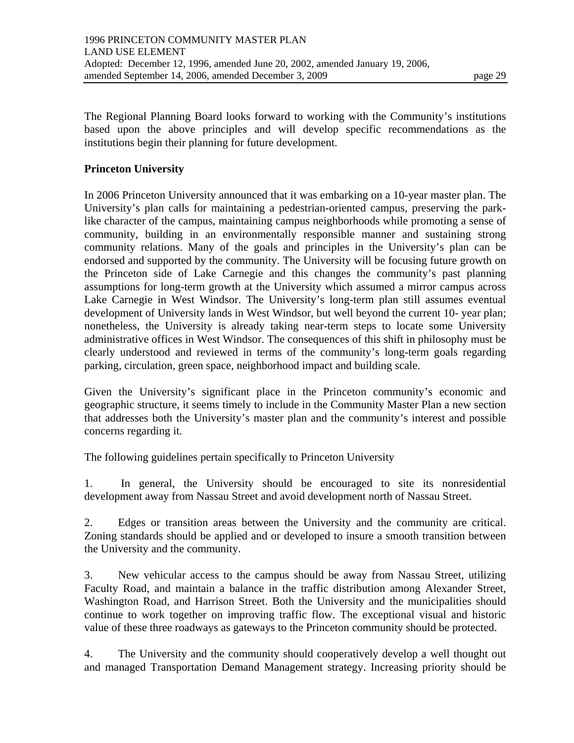The Regional Planning Board looks forward to working with the Community's institutions based upon the above principles and will develop specific recommendations as the institutions begin their planning for future development.

#### **Princeton University**

In 2006 Princeton University announced that it was embarking on a 10-year master plan. The University's plan calls for maintaining a pedestrian-oriented campus, preserving the parklike character of the campus, maintaining campus neighborhoods while promoting a sense of community, building in an environmentally responsible manner and sustaining strong community relations. Many of the goals and principles in the University's plan can be endorsed and supported by the community. The University will be focusing future growth on the Princeton side of Lake Carnegie and this changes the community's past planning assumptions for long-term growth at the University which assumed a mirror campus across Lake Carnegie in West Windsor. The University's long-term plan still assumes eventual development of University lands in West Windsor, but well beyond the current 10- year plan; nonetheless, the University is already taking near-term steps to locate some University administrative offices in West Windsor. The consequences of this shift in philosophy must be clearly understood and reviewed in terms of the community's long-term goals regarding parking, circulation, green space, neighborhood impact and building scale.

Given the University's significant place in the Princeton community's economic and geographic structure, it seems timely to include in the Community Master Plan a new section that addresses both the University's master plan and the community's interest and possible concerns regarding it.

The following guidelines pertain specifically to Princeton University

1. In general, the University should be encouraged to site its nonresidential development away from Nassau Street and avoid development north of Nassau Street.

2. Edges or transition areas between the University and the community are critical. Zoning standards should be applied and or developed to insure a smooth transition between the University and the community.

3. New vehicular access to the campus should be away from Nassau Street, utilizing Faculty Road, and maintain a balance in the traffic distribution among Alexander Street, Washington Road, and Harrison Street. Both the University and the municipalities should continue to work together on improving traffic flow. The exceptional visual and historic value of these three roadways as gateways to the Princeton community should be protected.

4. The University and the community should cooperatively develop a well thought out and managed Transportation Demand Management strategy. Increasing priority should be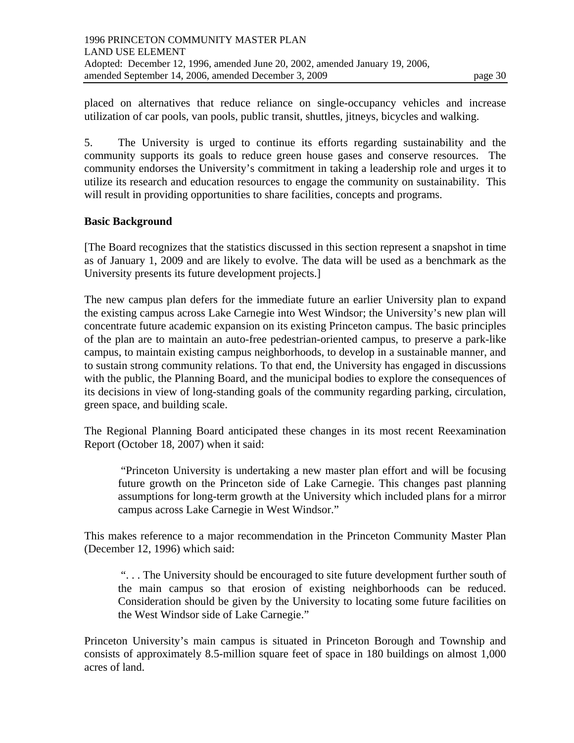placed on alternatives that reduce reliance on single-occupancy vehicles and increase utilization of car pools, van pools, public transit, shuttles, jitneys, bicycles and walking.

5. The University is urged to continue its efforts regarding sustainability and the community supports its goals to reduce green house gases and conserve resources. The community endorses the University's commitment in taking a leadership role and urges it to utilize its research and education resources to engage the community on sustainability. This will result in providing opportunities to share facilities, concepts and programs.

#### **Basic Background**

[The Board recognizes that the statistics discussed in this section represent a snapshot in time as of January 1, 2009 and are likely to evolve. The data will be used as a benchmark as the University presents its future development projects.]

The new campus plan defers for the immediate future an earlier University plan to expand the existing campus across Lake Carnegie into West Windsor; the University's new plan will concentrate future academic expansion on its existing Princeton campus. The basic principles of the plan are to maintain an auto-free pedestrian-oriented campus, to preserve a park-like campus, to maintain existing campus neighborhoods, to develop in a sustainable manner, and to sustain strong community relations. To that end, the University has engaged in discussions with the public, the Planning Board, and the municipal bodies to explore the consequences of its decisions in view of long-standing goals of the community regarding parking, circulation, green space, and building scale.

The Regional Planning Board anticipated these changes in its most recent Reexamination Report (October 18, 2007) when it said:

 "Princeton University is undertaking a new master plan effort and will be focusing future growth on the Princeton side of Lake Carnegie. This changes past planning assumptions for long-term growth at the University which included plans for a mirror campus across Lake Carnegie in West Windsor."

This makes reference to a major recommendation in the Princeton Community Master Plan (December 12, 1996) which said:

 ". . . The University should be encouraged to site future development further south of the main campus so that erosion of existing neighborhoods can be reduced. Consideration should be given by the University to locating some future facilities on the West Windsor side of Lake Carnegie."

Princeton University's main campus is situated in Princeton Borough and Township and consists of approximately 8.5-million square feet of space in 180 buildings on almost 1,000 acres of land.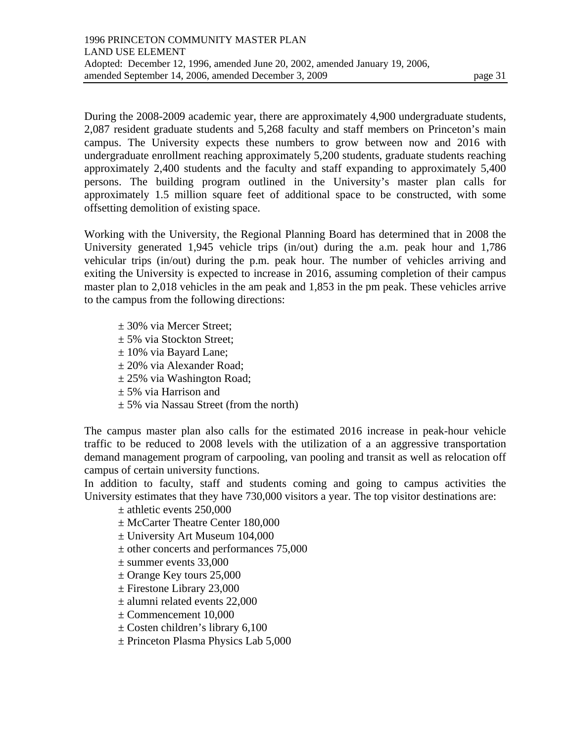During the 2008-2009 academic year, there are approximately 4,900 undergraduate students, 2,087 resident graduate students and 5,268 faculty and staff members on Princeton's main campus. The University expects these numbers to grow between now and 2016 with undergraduate enrollment reaching approximately 5,200 students, graduate students reaching approximately 2,400 students and the faculty and staff expanding to approximately 5,400 persons. The building program outlined in the University's master plan calls for approximately 1.5 million square feet of additional space to be constructed, with some

Working with the University, the Regional Planning Board has determined that in 2008 the University generated 1,945 vehicle trips (in/out) during the a.m. peak hour and 1,786 vehicular trips (in/out) during the p.m. peak hour. The number of vehicles arriving and exiting the University is expected to increase in 2016, assuming completion of their campus master plan to 2,018 vehicles in the am peak and 1,853 in the pm peak. These vehicles arrive to the campus from the following directions:

± 30% via Mercer Street;

offsetting demolition of existing space.

- ± 5% via Stockton Street;
- ± 10% via Bayard Lane;
- ± 20% via Alexander Road;
- $\pm$  25% via Washington Road;
- ± 5% via Harrison and
- $\pm$  5% via Nassau Street (from the north)

The campus master plan also calls for the estimated 2016 increase in peak-hour vehicle traffic to be reduced to 2008 levels with the utilization of a an aggressive transportation demand management program of carpooling, van pooling and transit as well as relocation off campus of certain university functions.

In addition to faculty, staff and students coming and going to campus activities the University estimates that they have 730,000 visitors a year. The top visitor destinations are:

 $\pm$  athletic events 250,000

- ± McCarter Theatre Center 180,000
- ± University Art Museum 104,000
- ± other concerts and performances 75,000
- $\pm$  summer events 33,000
- $\pm$  Orange Key tours 25,000
- ± Firestone Library 23,000
- ± alumni related events 22,000
- ± Commencement 10,000
- ± Costen children's library 6,100
- ± Princeton Plasma Physics Lab 5,000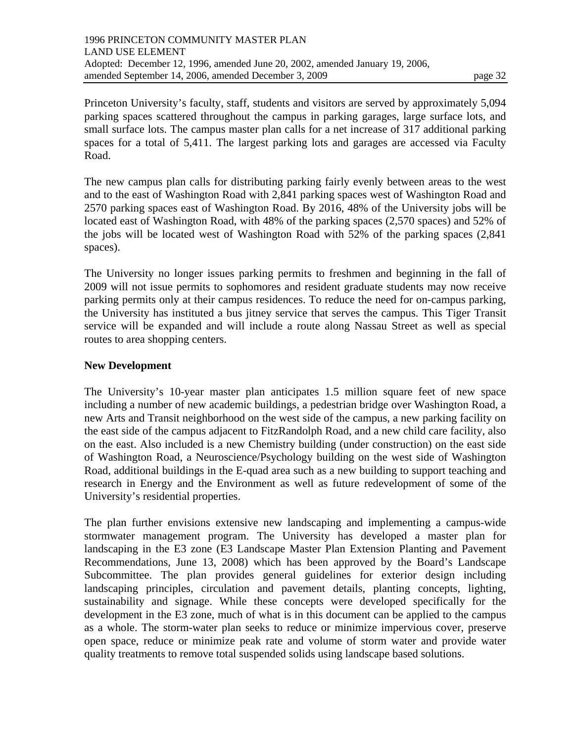Princeton University's faculty, staff, students and visitors are served by approximately 5,094 parking spaces scattered throughout the campus in parking garages, large surface lots, and small surface lots. The campus master plan calls for a net increase of 317 additional parking spaces for a total of 5,411. The largest parking lots and garages are accessed via Faculty Road.

The new campus plan calls for distributing parking fairly evenly between areas to the west and to the east of Washington Road with 2,841 parking spaces west of Washington Road and 2570 parking spaces east of Washington Road. By 2016, 48% of the University jobs will be located east of Washington Road, with 48% of the parking spaces (2,570 spaces) and 52% of the jobs will be located west of Washington Road with 52% of the parking spaces (2,841 spaces).

The University no longer issues parking permits to freshmen and beginning in the fall of 2009 will not issue permits to sophomores and resident graduate students may now receive parking permits only at their campus residences. To reduce the need for on-campus parking, the University has instituted a bus jitney service that serves the campus. This Tiger Transit service will be expanded and will include a route along Nassau Street as well as special routes to area shopping centers.

### **New Development**

The University's 10-year master plan anticipates 1.5 million square feet of new space including a number of new academic buildings, a pedestrian bridge over Washington Road, a new Arts and Transit neighborhood on the west side of the campus, a new parking facility on the east side of the campus adjacent to FitzRandolph Road, and a new child care facility, also on the east. Also included is a new Chemistry building (under construction) on the east side of Washington Road, a Neuroscience/Psychology building on the west side of Washington Road, additional buildings in the E-quad area such as a new building to support teaching and research in Energy and the Environment as well as future redevelopment of some of the University's residential properties.

The plan further envisions extensive new landscaping and implementing a campus-wide stormwater management program. The University has developed a master plan for landscaping in the E3 zone (E3 Landscape Master Plan Extension Planting and Pavement Recommendations, June 13, 2008) which has been approved by the Board's Landscape Subcommittee. The plan provides general guidelines for exterior design including landscaping principles, circulation and pavement details, planting concepts, lighting, sustainability and signage. While these concepts were developed specifically for the development in the E3 zone, much of what is in this document can be applied to the campus as a whole. The storm-water plan seeks to reduce or minimize impervious cover, preserve open space, reduce or minimize peak rate and volume of storm water and provide water quality treatments to remove total suspended solids using landscape based solutions.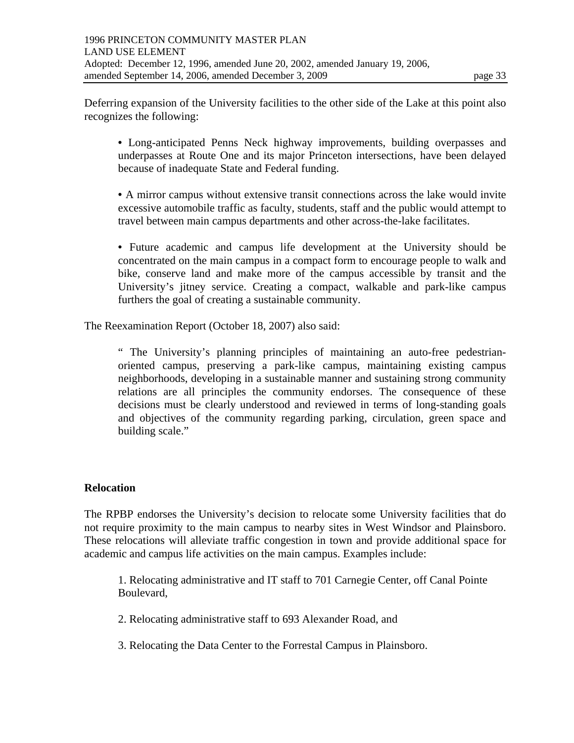Deferring expansion of the University facilities to the other side of the Lake at this point also recognizes the following:

• Long-anticipated Penns Neck highway improvements, building overpasses and underpasses at Route One and its major Princeton intersections, have been delayed because of inadequate State and Federal funding.

• A mirror campus without extensive transit connections across the lake would invite excessive automobile traffic as faculty, students, staff and the public would attempt to travel between main campus departments and other across-the-lake facilitates.

• Future academic and campus life development at the University should be concentrated on the main campus in a compact form to encourage people to walk and bike, conserve land and make more of the campus accessible by transit and the University's jitney service. Creating a compact, walkable and park-like campus furthers the goal of creating a sustainable community.

The Reexamination Report (October 18, 2007) also said:

" The University's planning principles of maintaining an auto-free pedestrianoriented campus, preserving a park-like campus, maintaining existing campus neighborhoods, developing in a sustainable manner and sustaining strong community relations are all principles the community endorses. The consequence of these decisions must be clearly understood and reviewed in terms of long-standing goals and objectives of the community regarding parking, circulation, green space and building scale."

### **Relocation**

The RPBP endorses the University's decision to relocate some University facilities that do not require proximity to the main campus to nearby sites in West Windsor and Plainsboro. These relocations will alleviate traffic congestion in town and provide additional space for academic and campus life activities on the main campus. Examples include:

1. Relocating administrative and IT staff to 701 Carnegie Center, off Canal Pointe Boulevard,

2. Relocating administrative staff to 693 Alexander Road, and

3. Relocating the Data Center to the Forrestal Campus in Plainsboro.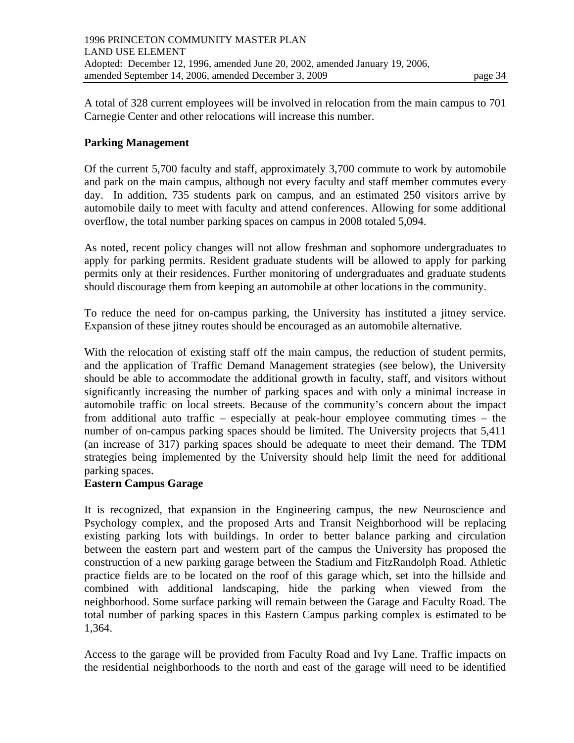A total of 328 current employees will be involved in relocation from the main campus to 701 Carnegie Center and other relocations will increase this number.

#### **Parking Management**

Of the current 5,700 faculty and staff, approximately 3,700 commute to work by automobile and park on the main campus, although not every faculty and staff member commutes every day. In addition, 735 students park on campus, and an estimated 250 visitors arrive by automobile daily to meet with faculty and attend conferences. Allowing for some additional overflow, the total number parking spaces on campus in 2008 totaled 5,094.

As noted, recent policy changes will not allow freshman and sophomore undergraduates to apply for parking permits. Resident graduate students will be allowed to apply for parking permits only at their residences. Further monitoring of undergraduates and graduate students should discourage them from keeping an automobile at other locations in the community.

To reduce the need for on-campus parking, the University has instituted a jitney service. Expansion of these jitney routes should be encouraged as an automobile alternative.

With the relocation of existing staff off the main campus, the reduction of student permits, and the application of Traffic Demand Management strategies (see below), the University should be able to accommodate the additional growth in faculty, staff, and visitors without significantly increasing the number of parking spaces and with only a minimal increase in automobile traffic on local streets. Because of the community's concern about the impact from additional auto traffic – especially at peak-hour employee commuting times – the number of on-campus parking spaces should be limited. The University projects that 5,411 (an increase of 317) parking spaces should be adequate to meet their demand. The TDM strategies being implemented by the University should help limit the need for additional parking spaces.

#### **Eastern Campus Garage**

It is recognized, that expansion in the Engineering campus, the new Neuroscience and Psychology complex, and the proposed Arts and Transit Neighborhood will be replacing existing parking lots with buildings. In order to better balance parking and circulation between the eastern part and western part of the campus the University has proposed the construction of a new parking garage between the Stadium and FitzRandolph Road. Athletic practice fields are to be located on the roof of this garage which, set into the hillside and combined with additional landscaping, hide the parking when viewed from the neighborhood. Some surface parking will remain between the Garage and Faculty Road. The total number of parking spaces in this Eastern Campus parking complex is estimated to be 1,364.

Access to the garage will be provided from Faculty Road and Ivy Lane. Traffic impacts on the residential neighborhoods to the north and east of the garage will need to be identified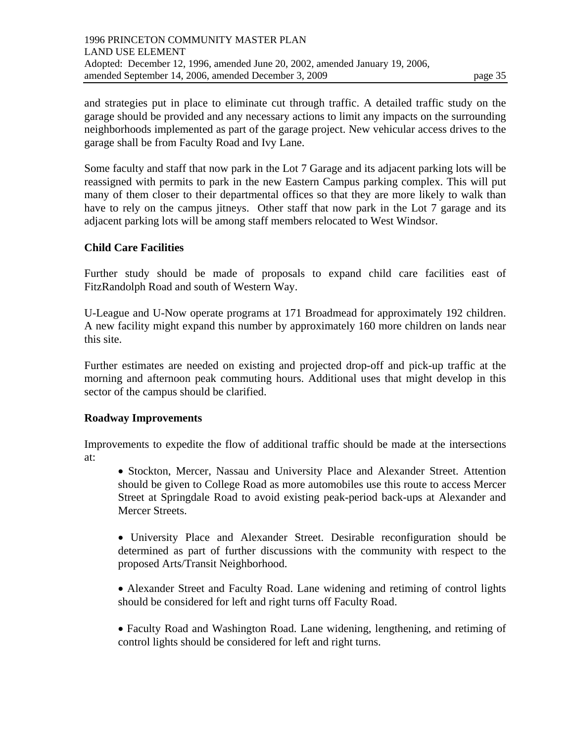and strategies put in place to eliminate cut through traffic. A detailed traffic study on the garage should be provided and any necessary actions to limit any impacts on the surrounding neighborhoods implemented as part of the garage project. New vehicular access drives to the garage shall be from Faculty Road and Ivy Lane.

Some faculty and staff that now park in the Lot 7 Garage and its adjacent parking lots will be reassigned with permits to park in the new Eastern Campus parking complex. This will put many of them closer to their departmental offices so that they are more likely to walk than have to rely on the campus jitneys. Other staff that now park in the Lot 7 garage and its adjacent parking lots will be among staff members relocated to West Windsor.

### **Child Care Facilities**

Further study should be made of proposals to expand child care facilities east of FitzRandolph Road and south of Western Way.

U-League and U-Now operate programs at 171 Broadmead for approximately 192 children. A new facility might expand this number by approximately 160 more children on lands near this site.

Further estimates are needed on existing and projected drop-off and pick-up traffic at the morning and afternoon peak commuting hours. Additional uses that might develop in this sector of the campus should be clarified.

### **Roadway Improvements**

Improvements to expedite the flow of additional traffic should be made at the intersections at:

• Stockton, Mercer, Nassau and University Place and Alexander Street. Attention should be given to College Road as more automobiles use this route to access Mercer Street at Springdale Road to avoid existing peak-period back-ups at Alexander and Mercer Streets.

• University Place and Alexander Street. Desirable reconfiguration should be determined as part of further discussions with the community with respect to the proposed Arts/Transit Neighborhood.

• Alexander Street and Faculty Road. Lane widening and retiming of control lights should be considered for left and right turns off Faculty Road.

• Faculty Road and Washington Road. Lane widening, lengthening, and retiming of control lights should be considered for left and right turns.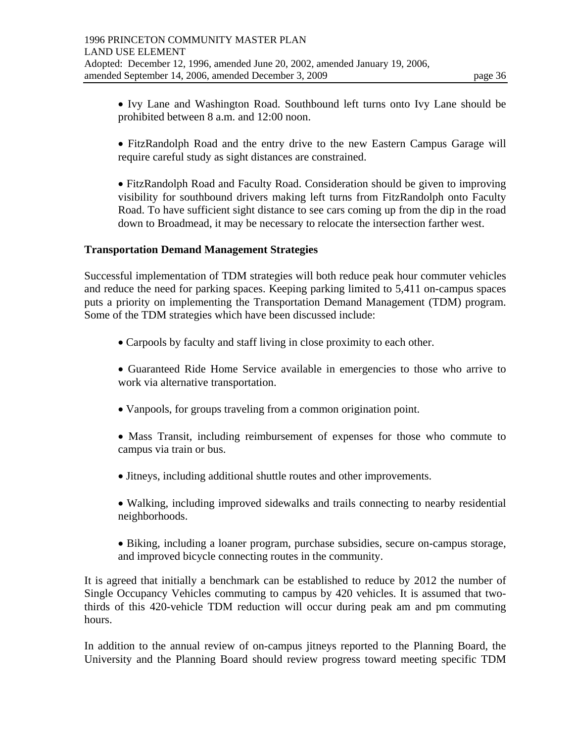• Ivy Lane and Washington Road. Southbound left turns onto Ivy Lane should be prohibited between 8 a.m. and 12:00 noon.

- FitzRandolph Road and the entry drive to the new Eastern Campus Garage will require careful study as sight distances are constrained.
- FitzRandolph Road and Faculty Road. Consideration should be given to improving visibility for southbound drivers making left turns from FitzRandolph onto Faculty Road. To have sufficient sight distance to see cars coming up from the dip in the road down to Broadmead, it may be necessary to relocate the intersection farther west.

### **Transportation Demand Management Strategies**

Successful implementation of TDM strategies will both reduce peak hour commuter vehicles and reduce the need for parking spaces. Keeping parking limited to 5,411 on-campus spaces puts a priority on implementing the Transportation Demand Management (TDM) program. Some of the TDM strategies which have been discussed include:

- Carpools by faculty and staff living in close proximity to each other.
- Guaranteed Ride Home Service available in emergencies to those who arrive to work via alternative transportation.
- Vanpools, for groups traveling from a common origination point.
- Mass Transit, including reimbursement of expenses for those who commute to campus via train or bus.
- Jitneys, including additional shuttle routes and other improvements.
- Walking, including improved sidewalks and trails connecting to nearby residential neighborhoods.
- Biking, including a loaner program, purchase subsidies, secure on-campus storage, and improved bicycle connecting routes in the community.

It is agreed that initially a benchmark can be established to reduce by 2012 the number of Single Occupancy Vehicles commuting to campus by 420 vehicles. It is assumed that twothirds of this 420-vehicle TDM reduction will occur during peak am and pm commuting hours.

In addition to the annual review of on-campus jitneys reported to the Planning Board, the University and the Planning Board should review progress toward meeting specific TDM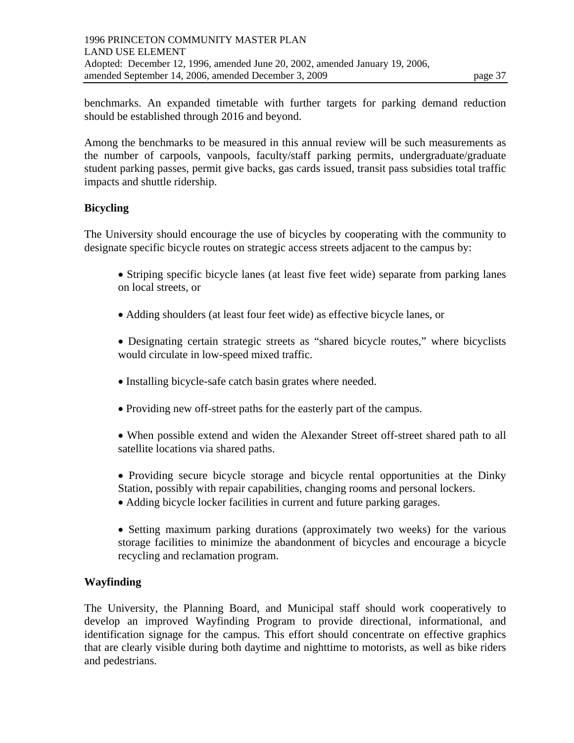benchmarks. An expanded timetable with further targets for parking demand reduction should be established through 2016 and beyond.

Among the benchmarks to be measured in this annual review will be such measurements as the number of carpools, vanpools, faculty/staff parking permits, undergraduate/graduate student parking passes, permit give backs, gas cards issued, transit pass subsidies total traffic impacts and shuttle ridership.

### **Bicycling**

The University should encourage the use of bicycles by cooperating with the community to designate specific bicycle routes on strategic access streets adjacent to the campus by:

- Striping specific bicycle lanes (at least five feet wide) separate from parking lanes on local streets, or
- Adding shoulders (at least four feet wide) as effective bicycle lanes, or
- Designating certain strategic streets as "shared bicycle routes," where bicyclists would circulate in low-speed mixed traffic.
- Installing bicycle-safe catch basin grates where needed.
- Providing new off-street paths for the easterly part of the campus.
- When possible extend and widen the Alexander Street off-street shared path to all satellite locations via shared paths.
- Providing secure bicycle storage and bicycle rental opportunities at the Dinky Station, possibly with repair capabilities, changing rooms and personal lockers.
- Adding bicycle locker facilities in current and future parking garages.
- Setting maximum parking durations (approximately two weeks) for the various storage facilities to minimize the abandonment of bicycles and encourage a bicycle recycling and reclamation program.

### **Wayfinding**

The University, the Planning Board, and Municipal staff should work cooperatively to develop an improved Wayfinding Program to provide directional, informational, and identification signage for the campus. This effort should concentrate on effective graphics that are clearly visible during both daytime and nighttime to motorists, as well as bike riders and pedestrians.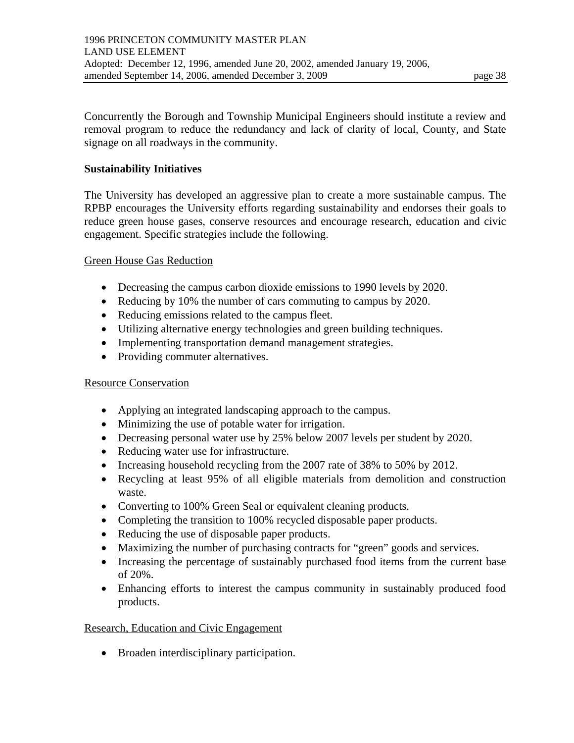Concurrently the Borough and Township Municipal Engineers should institute a review and removal program to reduce the redundancy and lack of clarity of local, County, and State signage on all roadways in the community.

### **Sustainability Initiatives**

The University has developed an aggressive plan to create a more sustainable campus. The RPBP encourages the University efforts regarding sustainability and endorses their goals to reduce green house gases, conserve resources and encourage research, education and civic engagement. Specific strategies include the following.

#### Green House Gas Reduction

- Decreasing the campus carbon dioxide emissions to 1990 levels by 2020.
- Reducing by 10% the number of cars commuting to campus by 2020.
- Reducing emissions related to the campus fleet.
- Utilizing alternative energy technologies and green building techniques.
- Implementing transportation demand management strategies.
- Providing commuter alternatives.

### Resource Conservation

- Applying an integrated landscaping approach to the campus.
- Minimizing the use of potable water for irrigation.
- Decreasing personal water use by 25% below 2007 levels per student by 2020.
- Reducing water use for infrastructure.
- Increasing household recycling from the 2007 rate of 38% to 50% by 2012.
- Recycling at least 95% of all eligible materials from demolition and construction waste.
- Converting to 100% Green Seal or equivalent cleaning products.
- Completing the transition to 100% recycled disposable paper products.
- Reducing the use of disposable paper products.
- Maximizing the number of purchasing contracts for "green" goods and services.
- Increasing the percentage of sustainably purchased food items from the current base of 20%.
- Enhancing efforts to interest the campus community in sustainably produced food products.

### Research, Education and Civic Engagement

• Broaden interdisciplinary participation.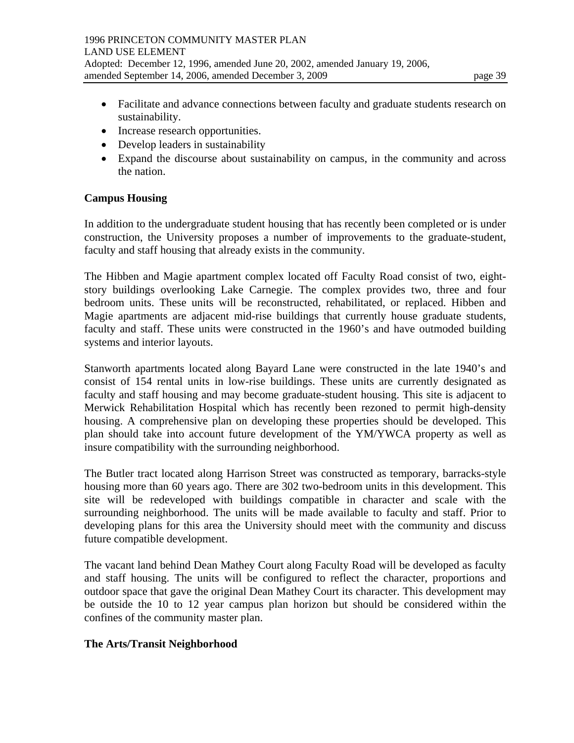- Facilitate and advance connections between faculty and graduate students research on sustainability.
- Increase research opportunities.
- Develop leaders in sustainability
- Expand the discourse about sustainability on campus, in the community and across the nation.

### **Campus Housing**

In addition to the undergraduate student housing that has recently been completed or is under construction, the University proposes a number of improvements to the graduate-student, faculty and staff housing that already exists in the community.

The Hibben and Magie apartment complex located off Faculty Road consist of two, eightstory buildings overlooking Lake Carnegie. The complex provides two, three and four bedroom units. These units will be reconstructed, rehabilitated, or replaced. Hibben and Magie apartments are adjacent mid-rise buildings that currently house graduate students, faculty and staff. These units were constructed in the 1960's and have outmoded building systems and interior layouts.

Stanworth apartments located along Bayard Lane were constructed in the late 1940's and consist of 154 rental units in low-rise buildings. These units are currently designated as faculty and staff housing and may become graduate-student housing. This site is adjacent to Merwick Rehabilitation Hospital which has recently been rezoned to permit high-density housing. A comprehensive plan on developing these properties should be developed. This plan should take into account future development of the YM/YWCA property as well as insure compatibility with the surrounding neighborhood.

The Butler tract located along Harrison Street was constructed as temporary, barracks-style housing more than 60 years ago. There are 302 two-bedroom units in this development. This site will be redeveloped with buildings compatible in character and scale with the surrounding neighborhood. The units will be made available to faculty and staff. Prior to developing plans for this area the University should meet with the community and discuss future compatible development.

The vacant land behind Dean Mathey Court along Faculty Road will be developed as faculty and staff housing. The units will be configured to reflect the character, proportions and outdoor space that gave the original Dean Mathey Court its character. This development may be outside the 10 to 12 year campus plan horizon but should be considered within the confines of the community master plan.

### **The Arts/Transit Neighborhood**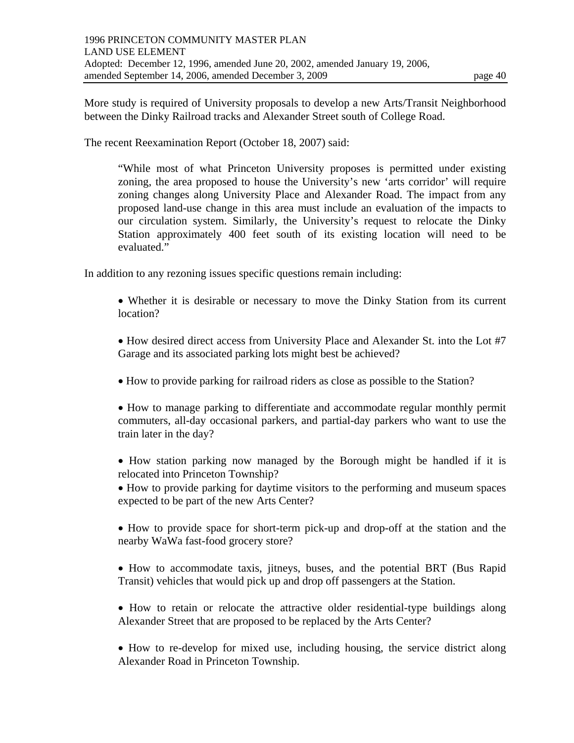The recent Reexamination Report (October 18, 2007) said:

"While most of what Princeton University proposes is permitted under existing zoning, the area proposed to house the University's new 'arts corridor' will require zoning changes along University Place and Alexander Road. The impact from any proposed land-use change in this area must include an evaluation of the impacts to our circulation system. Similarly, the University's request to relocate the Dinky Station approximately 400 feet south of its existing location will need to be evaluated."

In addition to any rezoning issues specific questions remain including:

- Whether it is desirable or necessary to move the Dinky Station from its current location?
- How desired direct access from University Place and Alexander St. into the Lot #7 Garage and its associated parking lots might best be achieved?
- How to provide parking for railroad riders as close as possible to the Station?
- How to manage parking to differentiate and accommodate regular monthly permit commuters, all-day occasional parkers, and partial-day parkers who want to use the train later in the day?
- How station parking now managed by the Borough might be handled if it is relocated into Princeton Township?
- How to provide parking for daytime visitors to the performing and museum spaces expected to be part of the new Arts Center?
- How to provide space for short-term pick-up and drop-off at the station and the nearby WaWa fast-food grocery store?
- How to accommodate taxis, jitneys, buses, and the potential BRT (Bus Rapid Transit) vehicles that would pick up and drop off passengers at the Station.
- How to retain or relocate the attractive older residential-type buildings along Alexander Street that are proposed to be replaced by the Arts Center?
- How to re-develop for mixed use, including housing, the service district along Alexander Road in Princeton Township.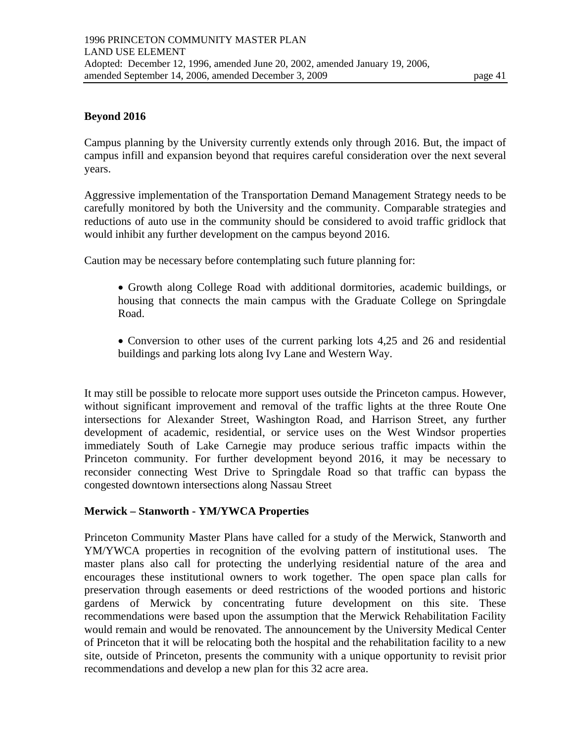#### **Beyond 2016**

Campus planning by the University currently extends only through 2016. But, the impact of campus infill and expansion beyond that requires careful consideration over the next several years.

Aggressive implementation of the Transportation Demand Management Strategy needs to be carefully monitored by both the University and the community. Comparable strategies and reductions of auto use in the community should be considered to avoid traffic gridlock that would inhibit any further development on the campus beyond 2016.

Caution may be necessary before contemplating such future planning for:

- Growth along College Road with additional dormitories, academic buildings, or housing that connects the main campus with the Graduate College on Springdale Road.
- Conversion to other uses of the current parking lots 4,25 and 26 and residential buildings and parking lots along Ivy Lane and Western Way.

It may still be possible to relocate more support uses outside the Princeton campus. However, without significant improvement and removal of the traffic lights at the three Route One intersections for Alexander Street, Washington Road, and Harrison Street, any further development of academic, residential, or service uses on the West Windsor properties immediately South of Lake Carnegie may produce serious traffic impacts within the Princeton community. For further development beyond 2016, it may be necessary to reconsider connecting West Drive to Springdale Road so that traffic can bypass the congested downtown intersections along Nassau Street

#### **Merwick – Stanworth - YM/YWCA Properties**

Princeton Community Master Plans have called for a study of the Merwick, Stanworth and YM/YWCA properties in recognition of the evolving pattern of institutional uses. The master plans also call for protecting the underlying residential nature of the area and encourages these institutional owners to work together. The open space plan calls for preservation through easements or deed restrictions of the wooded portions and historic gardens of Merwick by concentrating future development on this site. These recommendations were based upon the assumption that the Merwick Rehabilitation Facility would remain and would be renovated. The announcement by the University Medical Center of Princeton that it will be relocating both the hospital and the rehabilitation facility to a new site, outside of Princeton, presents the community with a unique opportunity to revisit prior recommendations and develop a new plan for this 32 acre area.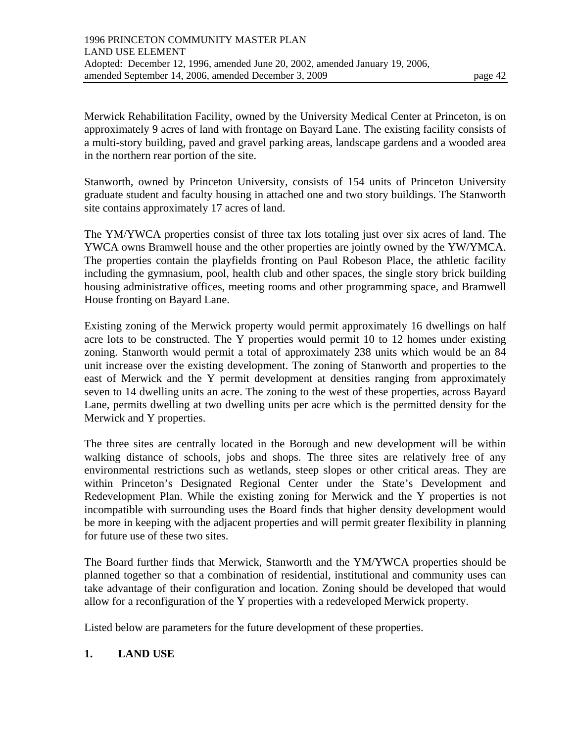Merwick Rehabilitation Facility, owned by the University Medical Center at Princeton, is on approximately 9 acres of land with frontage on Bayard Lane. The existing facility consists of a multi-story building, paved and gravel parking areas, landscape gardens and a wooded area in the northern rear portion of the site.

Stanworth, owned by Princeton University, consists of 154 units of Princeton University graduate student and faculty housing in attached one and two story buildings. The Stanworth site contains approximately 17 acres of land.

The YM/YWCA properties consist of three tax lots totaling just over six acres of land. The YWCA owns Bramwell house and the other properties are jointly owned by the YW/YMCA. The properties contain the playfields fronting on Paul Robeson Place, the athletic facility including the gymnasium, pool, health club and other spaces, the single story brick building housing administrative offices, meeting rooms and other programming space, and Bramwell House fronting on Bayard Lane.

Existing zoning of the Merwick property would permit approximately 16 dwellings on half acre lots to be constructed. The Y properties would permit 10 to 12 homes under existing zoning. Stanworth would permit a total of approximately 238 units which would be an 84 unit increase over the existing development. The zoning of Stanworth and properties to the east of Merwick and the Y permit development at densities ranging from approximately seven to 14 dwelling units an acre. The zoning to the west of these properties, across Bayard Lane, permits dwelling at two dwelling units per acre which is the permitted density for the Merwick and Y properties.

The three sites are centrally located in the Borough and new development will be within walking distance of schools, jobs and shops. The three sites are relatively free of any environmental restrictions such as wetlands, steep slopes or other critical areas. They are within Princeton's Designated Regional Center under the State's Development and Redevelopment Plan. While the existing zoning for Merwick and the Y properties is not incompatible with surrounding uses the Board finds that higher density development would be more in keeping with the adjacent properties and will permit greater flexibility in planning for future use of these two sites.

The Board further finds that Merwick, Stanworth and the YM/YWCA properties should be planned together so that a combination of residential, institutional and community uses can take advantage of their configuration and location. Zoning should be developed that would allow for a reconfiguration of the Y properties with a redeveloped Merwick property.

Listed below are parameters for the future development of these properties.

### **1. LAND USE**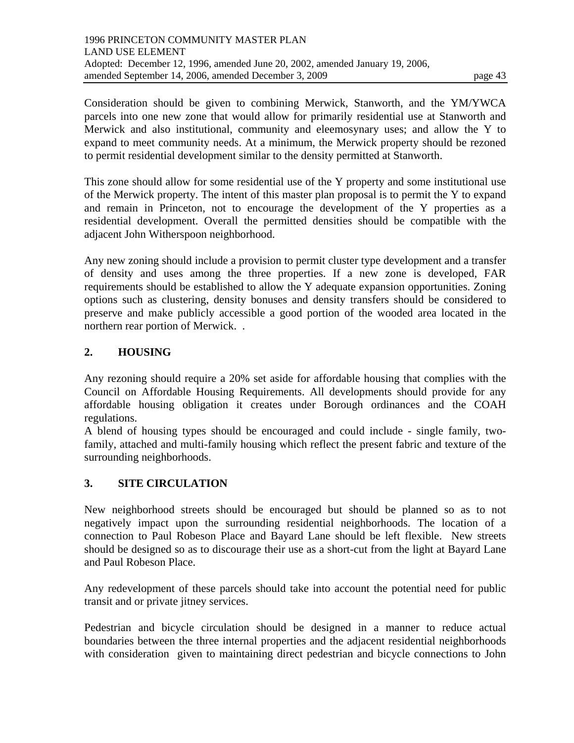to permit residential development similar to the density permitted at Stanworth.

This zone should allow for some residential use of the Y property and some institutional use of the Merwick property. The intent of this master plan proposal is to permit the Y to expand and remain in Princeton, not to encourage the development of the Y properties as a residential development. Overall the permitted densities should be compatible with the adjacent John Witherspoon neighborhood.

Any new zoning should include a provision to permit cluster type development and a transfer of density and uses among the three properties. If a new zone is developed, FAR requirements should be established to allow the Y adequate expansion opportunities. Zoning options such as clustering, density bonuses and density transfers should be considered to preserve and make publicly accessible a good portion of the wooded area located in the northern rear portion of Merwick. .

# **2. HOUSING**

Any rezoning should require a 20% set aside for affordable housing that complies with the Council on Affordable Housing Requirements. All developments should provide for any affordable housing obligation it creates under Borough ordinances and the COAH regulations.

A blend of housing types should be encouraged and could include - single family, twofamily, attached and multi-family housing which reflect the present fabric and texture of the surrounding neighborhoods.

### **3. SITE CIRCULATION**

New neighborhood streets should be encouraged but should be planned so as to not negatively impact upon the surrounding residential neighborhoods. The location of a connection to Paul Robeson Place and Bayard Lane should be left flexible. New streets should be designed so as to discourage their use as a short-cut from the light at Bayard Lane and Paul Robeson Place.

Any redevelopment of these parcels should take into account the potential need for public transit and or private jitney services.

Pedestrian and bicycle circulation should be designed in a manner to reduce actual boundaries between the three internal properties and the adjacent residential neighborhoods with consideration given to maintaining direct pedestrian and bicycle connections to John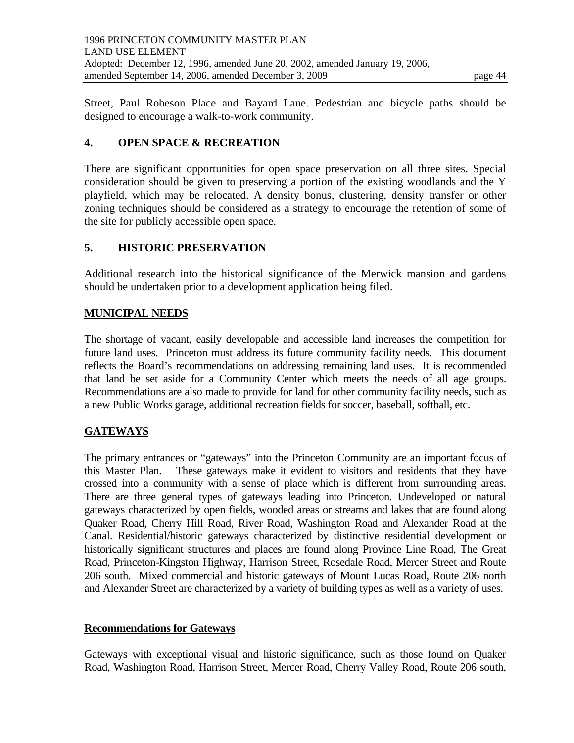Street, Paul Robeson Place and Bayard Lane. Pedestrian and bicycle paths should be designed to encourage a walk-to-work community.

## **4. OPEN SPACE & RECREATION**

There are significant opportunities for open space preservation on all three sites. Special consideration should be given to preserving a portion of the existing woodlands and the Y playfield, which may be relocated. A density bonus, clustering, density transfer or other zoning techniques should be considered as a strategy to encourage the retention of some of the site for publicly accessible open space.

## **5. HISTORIC PRESERVATION**

Additional research into the historical significance of the Merwick mansion and gardens should be undertaken prior to a development application being filed.

## **MUNICIPAL NEEDS**

The shortage of vacant, easily developable and accessible land increases the competition for future land uses. Princeton must address its future community facility needs. This document reflects the Board's recommendations on addressing remaining land uses. It is recommended that land be set aside for a Community Center which meets the needs of all age groups. Recommendations are also made to provide for land for other community facility needs, such as a new Public Works garage, additional recreation fields for soccer, baseball, softball, etc.

### **GATEWAYS**

The primary entrances or "gateways" into the Princeton Community are an important focus of this Master Plan. These gateways make it evident to visitors and residents that they have crossed into a community with a sense of place which is different from surrounding areas. There are three general types of gateways leading into Princeton. Undeveloped or natural gateways characterized by open fields, wooded areas or streams and lakes that are found along Quaker Road, Cherry Hill Road, River Road, Washington Road and Alexander Road at the Canal. Residential/historic gateways characterized by distinctive residential development or historically significant structures and places are found along Province Line Road, The Great Road, Princeton-Kingston Highway, Harrison Street, Rosedale Road, Mercer Street and Route 206 south. Mixed commercial and historic gateways of Mount Lucas Road, Route 206 north and Alexander Street are characterized by a variety of building types as well as a variety of uses.

### **Recommendations for Gateways**

Gateways with exceptional visual and historic significance, such as those found on Quaker Road, Washington Road, Harrison Street, Mercer Road, Cherry Valley Road, Route 206 south,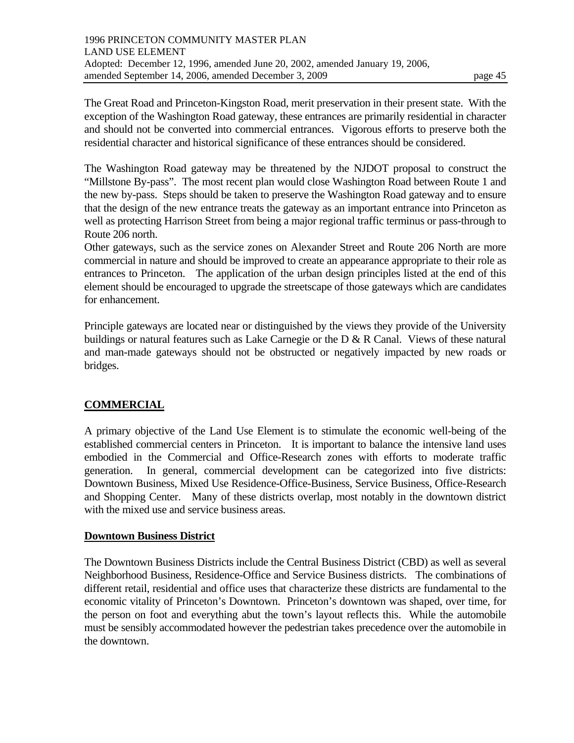The Washington Road gateway may be threatened by the NJDOT proposal to construct the "Millstone By-pass". The most recent plan would close Washington Road between Route 1 and the new by-pass. Steps should be taken to preserve the Washington Road gateway and to ensure that the design of the new entrance treats the gateway as an important entrance into Princeton as well as protecting Harrison Street from being a major regional traffic terminus or pass-through to Route 206 north.

Other gateways, such as the service zones on Alexander Street and Route 206 North are more commercial in nature and should be improved to create an appearance appropriate to their role as entrances to Princeton. The application of the urban design principles listed at the end of this element should be encouraged to upgrade the streetscape of those gateways which are candidates for enhancement.

Principle gateways are located near or distinguished by the views they provide of the University buildings or natural features such as Lake Carnegie or the  $D & R$  Canal. Views of these natural and man-made gateways should not be obstructed or negatively impacted by new roads or bridges.

# **COMMERCIAL**

A primary objective of the Land Use Element is to stimulate the economic well-being of the established commercial centers in Princeton. It is important to balance the intensive land uses embodied in the Commercial and Office-Research zones with efforts to moderate traffic generation. In general, commercial development can be categorized into five districts: Downtown Business, Mixed Use Residence-Office-Business, Service Business, Office-Research and Shopping Center. Many of these districts overlap, most notably in the downtown district with the mixed use and service business areas.

### **Downtown Business District**

The Downtown Business Districts include the Central Business District (CBD) as well as several Neighborhood Business, Residence-Office and Service Business districts. The combinations of different retail, residential and office uses that characterize these districts are fundamental to the economic vitality of Princeton's Downtown. Princeton's downtown was shaped, over time, for the person on foot and everything abut the town's layout reflects this. While the automobile must be sensibly accommodated however the pedestrian takes precedence over the automobile in the downtown.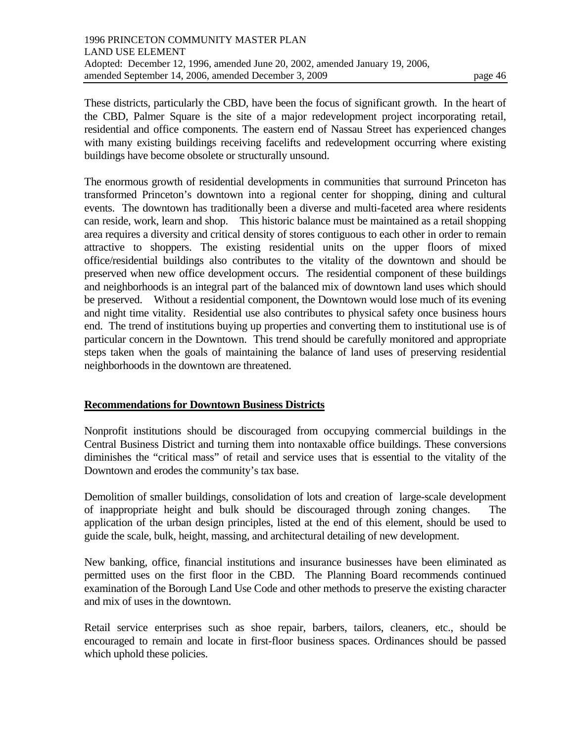These districts, particularly the CBD, have been the focus of significant growth. In the heart of the CBD, Palmer Square is the site of a major redevelopment project incorporating retail, residential and office components. The eastern end of Nassau Street has experienced changes with many existing buildings receiving facelifts and redevelopment occurring where existing buildings have become obsolete or structurally unsound.

The enormous growth of residential developments in communities that surround Princeton has transformed Princeton's downtown into a regional center for shopping, dining and cultural events. The downtown has traditionally been a diverse and multi-faceted area where residents can reside, work, learn and shop. This historic balance must be maintained as a retail shopping area requires a diversity and critical density of stores contiguous to each other in order to remain attractive to shoppers. The existing residential units on the upper floors of mixed office/residential buildings also contributes to the vitality of the downtown and should be preserved when new office development occurs. The residential component of these buildings and neighborhoods is an integral part of the balanced mix of downtown land uses which should be preserved. Without a residential component, the Downtown would lose much of its evening and night time vitality. Residential use also contributes to physical safety once business hours end. The trend of institutions buying up properties and converting them to institutional use is of particular concern in the Downtown. This trend should be carefully monitored and appropriate steps taken when the goals of maintaining the balance of land uses of preserving residential neighborhoods in the downtown are threatened.

### **Recommendations for Downtown Business Districts**

Nonprofit institutions should be discouraged from occupying commercial buildings in the Central Business District and turning them into nontaxable office buildings. These conversions diminishes the "critical mass" of retail and service uses that is essential to the vitality of the Downtown and erodes the community's tax base.

Demolition of smaller buildings, consolidation of lots and creation of large-scale development of inappropriate height and bulk should be discouraged through zoning changes. The application of the urban design principles, listed at the end of this element, should be used to guide the scale, bulk, height, massing, and architectural detailing of new development.

New banking, office, financial institutions and insurance businesses have been eliminated as permitted uses on the first floor in the CBD. The Planning Board recommends continued examination of the Borough Land Use Code and other methods to preserve the existing character and mix of uses in the downtown.

Retail service enterprises such as shoe repair, barbers, tailors, cleaners, etc., should be encouraged to remain and locate in first-floor business spaces. Ordinances should be passed which uphold these policies.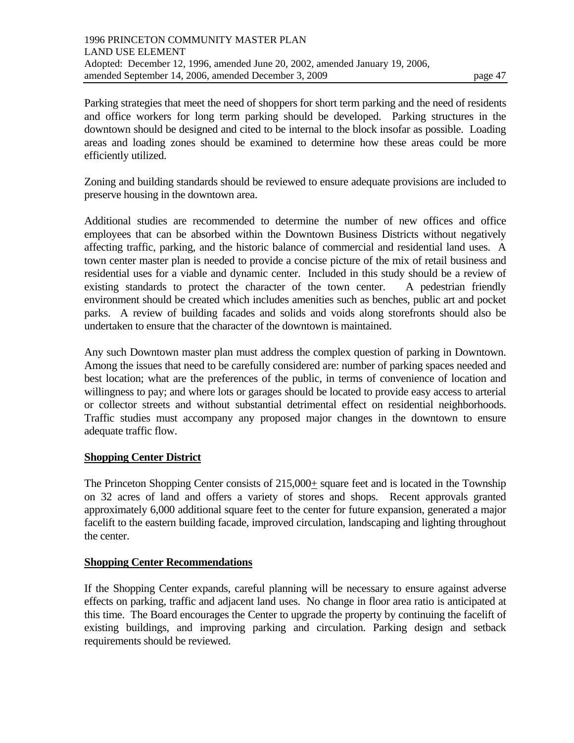Parking strategies that meet the need of shoppers for short term parking and the need of residents and office workers for long term parking should be developed. Parking structures in the downtown should be designed and cited to be internal to the block insofar as possible. Loading areas and loading zones should be examined to determine how these areas could be more efficiently utilized.

Zoning and building standards should be reviewed to ensure adequate provisions are included to preserve housing in the downtown area.

Additional studies are recommended to determine the number of new offices and office employees that can be absorbed within the Downtown Business Districts without negatively affecting traffic, parking, and the historic balance of commercial and residential land uses. A town center master plan is needed to provide a concise picture of the mix of retail business and residential uses for a viable and dynamic center. Included in this study should be a review of existing standards to protect the character of the town center. A pedestrian friendly environment should be created which includes amenities such as benches, public art and pocket parks. A review of building facades and solids and voids along storefronts should also be undertaken to ensure that the character of the downtown is maintained.

Any such Downtown master plan must address the complex question of parking in Downtown. Among the issues that need to be carefully considered are: number of parking spaces needed and best location; what are the preferences of the public, in terms of convenience of location and willingness to pay; and where lots or garages should be located to provide easy access to arterial or collector streets and without substantial detrimental effect on residential neighborhoods. Traffic studies must accompany any proposed major changes in the downtown to ensure adequate traffic flow.

### **Shopping Center District**

The Princeton Shopping Center consists of 215,000+ square feet and is located in the Township on 32 acres of land and offers a variety of stores and shops. Recent approvals granted approximately 6,000 additional square feet to the center for future expansion, generated a major facelift to the eastern building facade, improved circulation, landscaping and lighting throughout the center.

#### **Shopping Center Recommendations**

If the Shopping Center expands, careful planning will be necessary to ensure against adverse effects on parking, traffic and adjacent land uses. No change in floor area ratio is anticipated at this time. The Board encourages the Center to upgrade the property by continuing the facelift of existing buildings, and improving parking and circulation. Parking design and setback requirements should be reviewed.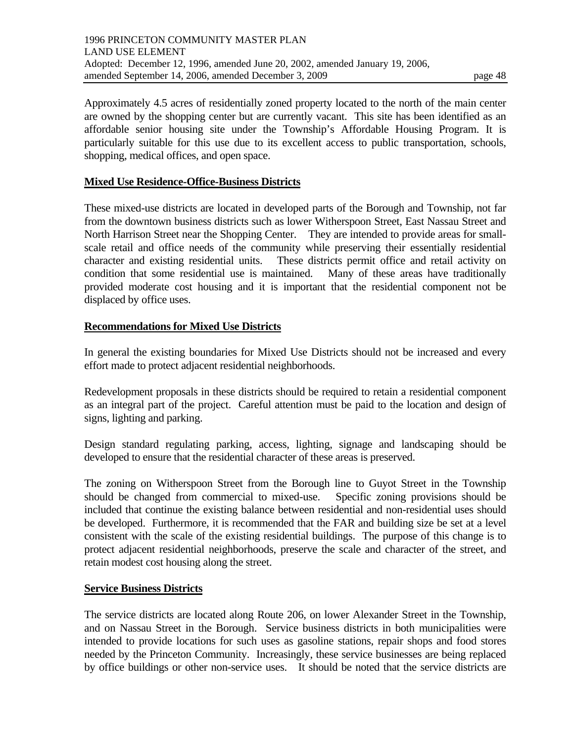Approximately 4.5 acres of residentially zoned property located to the north of the main center are owned by the shopping center but are currently vacant. This site has been identified as an affordable senior housing site under the Township's Affordable Housing Program. It is particularly suitable for this use due to its excellent access to public transportation, schools, shopping, medical offices, and open space.

#### **Mixed Use Residence-Office-Business Districts**

These mixed-use districts are located in developed parts of the Borough and Township, not far from the downtown business districts such as lower Witherspoon Street, East Nassau Street and North Harrison Street near the Shopping Center. They are intended to provide areas for smallscale retail and office needs of the community while preserving their essentially residential character and existing residential units. These districts permit office and retail activity on condition that some residential use is maintained. Many of these areas have traditionally provided moderate cost housing and it is important that the residential component not be displaced by office uses.

#### **Recommendations for Mixed Use Districts**

In general the existing boundaries for Mixed Use Districts should not be increased and every effort made to protect adjacent residential neighborhoods.

Redevelopment proposals in these districts should be required to retain a residential component as an integral part of the project. Careful attention must be paid to the location and design of signs, lighting and parking.

Design standard regulating parking, access, lighting, signage and landscaping should be developed to ensure that the residential character of these areas is preserved.

The zoning on Witherspoon Street from the Borough line to Guyot Street in the Township should be changed from commercial to mixed-use. Specific zoning provisions should be included that continue the existing balance between residential and non-residential uses should be developed. Furthermore, it is recommended that the FAR and building size be set at a level consistent with the scale of the existing residential buildings. The purpose of this change is to protect adjacent residential neighborhoods, preserve the scale and character of the street, and retain modest cost housing along the street.

#### **Service Business Districts**

The service districts are located along Route 206, on lower Alexander Street in the Township, and on Nassau Street in the Borough. Service business districts in both municipalities were intended to provide locations for such uses as gasoline stations, repair shops and food stores needed by the Princeton Community. Increasingly, these service businesses are being replaced by office buildings or other non-service uses. It should be noted that the service districts are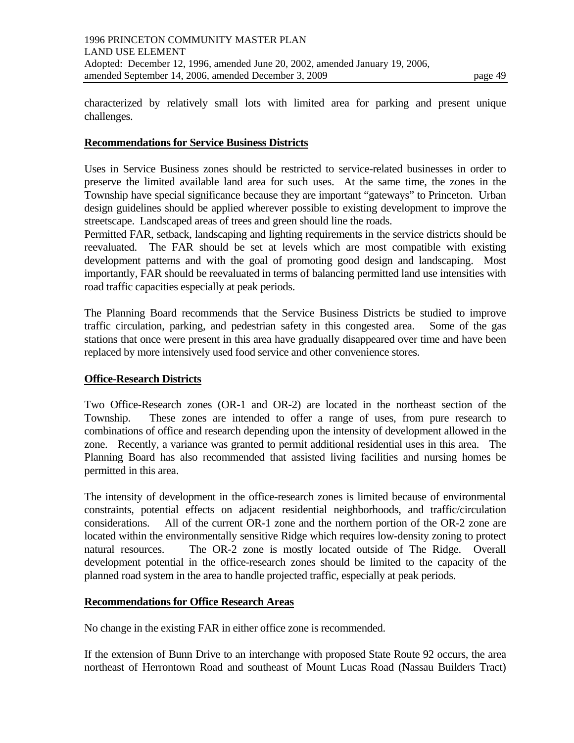characterized by relatively small lots with limited area for parking and present unique challenges.

#### **Recommendations for Service Business Districts**

Uses in Service Business zones should be restricted to service-related businesses in order to preserve the limited available land area for such uses. At the same time, the zones in the Township have special significance because they are important "gateways" to Princeton. Urban design guidelines should be applied wherever possible to existing development to improve the streetscape. Landscaped areas of trees and green should line the roads.

Permitted FAR, setback, landscaping and lighting requirements in the service districts should be reevaluated. The FAR should be set at levels which are most compatible with existing development patterns and with the goal of promoting good design and landscaping. Most importantly, FAR should be reevaluated in terms of balancing permitted land use intensities with road traffic capacities especially at peak periods.

The Planning Board recommends that the Service Business Districts be studied to improve traffic circulation, parking, and pedestrian safety in this congested area. Some of the gas stations that once were present in this area have gradually disappeared over time and have been replaced by more intensively used food service and other convenience stores.

#### **Office-Research Districts**

Two Office-Research zones (OR-1 and OR-2) are located in the northeast section of the Township. These zones are intended to offer a range of uses, from pure research to combinations of office and research depending upon the intensity of development allowed in the zone. Recently, a variance was granted to permit additional residential uses in this area. The Planning Board has also recommended that assisted living facilities and nursing homes be permitted in this area.

The intensity of development in the office-research zones is limited because of environmental constraints, potential effects on adjacent residential neighborhoods, and traffic/circulation considerations. All of the current OR-1 zone and the northern portion of the OR-2 zone are located within the environmentally sensitive Ridge which requires low-density zoning to protect natural resources. The OR-2 zone is mostly located outside of The Ridge. Overall development potential in the office-research zones should be limited to the capacity of the planned road system in the area to handle projected traffic, especially at peak periods.

#### **Recommendations for Office Research Areas**

No change in the existing FAR in either office zone is recommended.

If the extension of Bunn Drive to an interchange with proposed State Route 92 occurs, the area northeast of Herrontown Road and southeast of Mount Lucas Road (Nassau Builders Tract)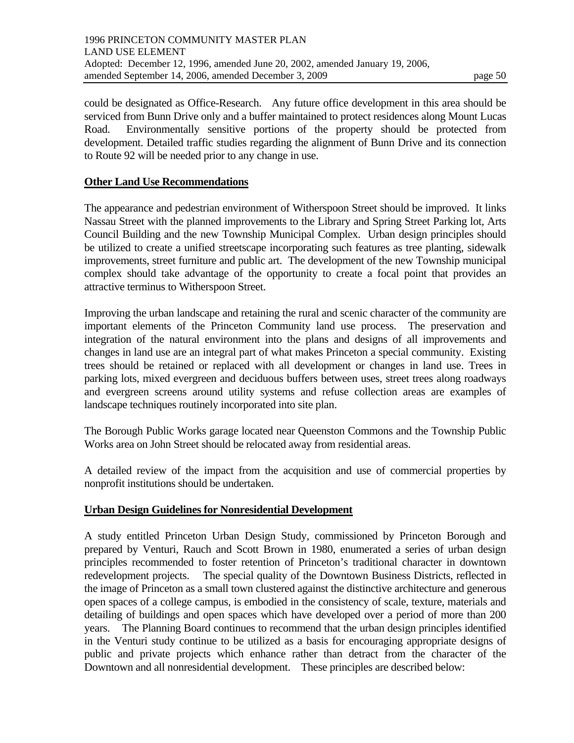could be designated as Office-Research. Any future office development in this area should be serviced from Bunn Drive only and a buffer maintained to protect residences along Mount Lucas Road. Environmentally sensitive portions of the property should be protected from development. Detailed traffic studies regarding the alignment of Bunn Drive and its connection to Route 92 will be needed prior to any change in use.

### **Other Land Use Recommendations**

The appearance and pedestrian environment of Witherspoon Street should be improved. It links Nassau Street with the planned improvements to the Library and Spring Street Parking lot, Arts Council Building and the new Township Municipal Complex. Urban design principles should be utilized to create a unified streetscape incorporating such features as tree planting, sidewalk improvements, street furniture and public art. The development of the new Township municipal complex should take advantage of the opportunity to create a focal point that provides an attractive terminus to Witherspoon Street.

Improving the urban landscape and retaining the rural and scenic character of the community are important elements of the Princeton Community land use process. The preservation and integration of the natural environment into the plans and designs of all improvements and changes in land use are an integral part of what makes Princeton a special community. Existing trees should be retained or replaced with all development or changes in land use. Trees in parking lots, mixed evergreen and deciduous buffers between uses, street trees along roadways and evergreen screens around utility systems and refuse collection areas are examples of landscape techniques routinely incorporated into site plan.

The Borough Public Works garage located near Queenston Commons and the Township Public Works area on John Street should be relocated away from residential areas.

A detailed review of the impact from the acquisition and use of commercial properties by nonprofit institutions should be undertaken.

#### **Urban Design Guidelines for Nonresidential Development**

A study entitled Princeton Urban Design Study, commissioned by Princeton Borough and prepared by Venturi, Rauch and Scott Brown in 1980, enumerated a series of urban design principles recommended to foster retention of Princeton's traditional character in downtown redevelopment projects. The special quality of the Downtown Business Districts, reflected in the image of Princeton as a small town clustered against the distinctive architecture and generous open spaces of a college campus, is embodied in the consistency of scale, texture, materials and detailing of buildings and open spaces which have developed over a period of more than 200 years. The Planning Board continues to recommend that the urban design principles identified in the Venturi study continue to be utilized as a basis for encouraging appropriate designs of public and private projects which enhance rather than detract from the character of the Downtown and all nonresidential development. These principles are described below: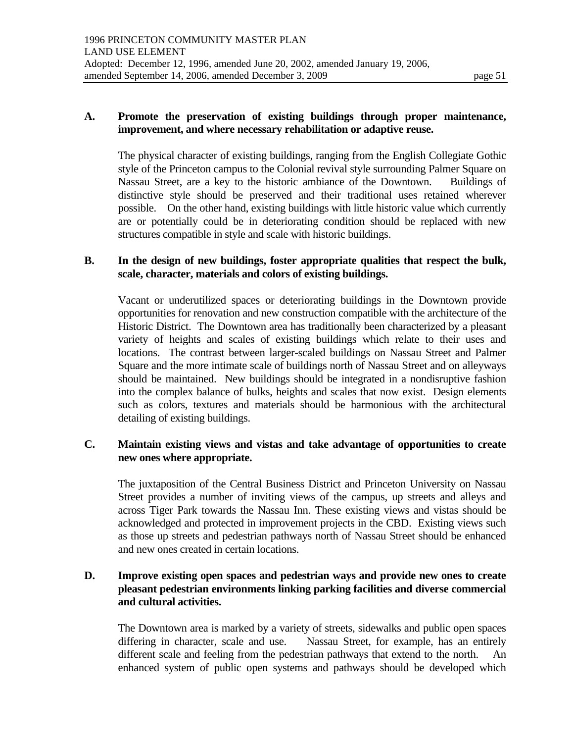#### **A. Promote the preservation of existing buildings through proper maintenance, improvement, and where necessary rehabilitation or adaptive reuse.**

 The physical character of existing buildings, ranging from the English Collegiate Gothic style of the Princeton campus to the Colonial revival style surrounding Palmer Square on Nassau Street, are a key to the historic ambiance of the Downtown. Buildings of distinctive style should be preserved and their traditional uses retained wherever possible. On the other hand, existing buildings with little historic value which currently are or potentially could be in deteriorating condition should be replaced with new structures compatible in style and scale with historic buildings.

#### **B. In the design of new buildings, foster appropriate qualities that respect the bulk, scale, character, materials and colors of existing buildings.**

 Vacant or underutilized spaces or deteriorating buildings in the Downtown provide opportunities for renovation and new construction compatible with the architecture of the Historic District. The Downtown area has traditionally been characterized by a pleasant variety of heights and scales of existing buildings which relate to their uses and locations. The contrast between larger-scaled buildings on Nassau Street and Palmer Square and the more intimate scale of buildings north of Nassau Street and on alleyways should be maintained. New buildings should be integrated in a nondisruptive fashion into the complex balance of bulks, heights and scales that now exist. Design elements such as colors, textures and materials should be harmonious with the architectural detailing of existing buildings.

### **C. Maintain existing views and vistas and take advantage of opportunities to create new ones where appropriate.**

 The juxtaposition of the Central Business District and Princeton University on Nassau Street provides a number of inviting views of the campus, up streets and alleys and across Tiger Park towards the Nassau Inn. These existing views and vistas should be acknowledged and protected in improvement projects in the CBD. Existing views such as those up streets and pedestrian pathways north of Nassau Street should be enhanced and new ones created in certain locations.

### **D. Improve existing open spaces and pedestrian ways and provide new ones to create pleasant pedestrian environments linking parking facilities and diverse commercial and cultural activities.**

 The Downtown area is marked by a variety of streets, sidewalks and public open spaces differing in character, scale and use. Nassau Street, for example, has an entirely different scale and feeling from the pedestrian pathways that extend to the north. An enhanced system of public open systems and pathways should be developed which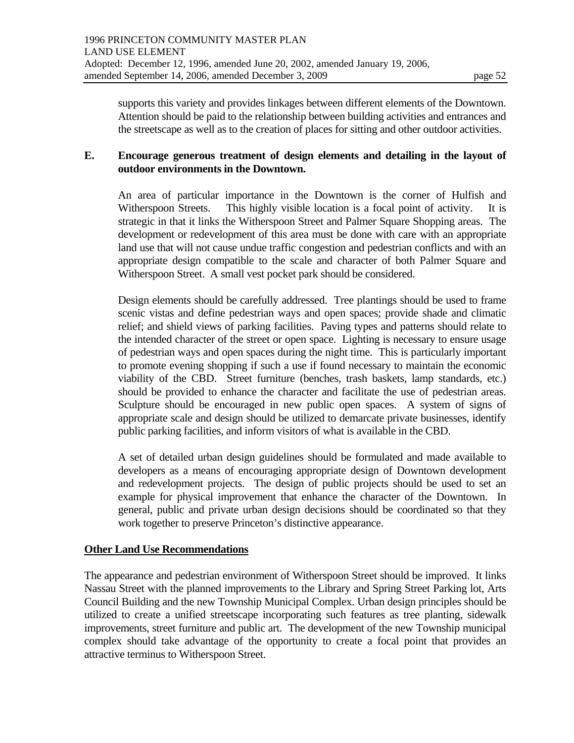supports this variety and provides linkages between different elements of the Downtown. Attention should be paid to the relationship between building activities and entrances and the streetscape as well as to the creation of places for sitting and other outdoor activities.

#### **E. Encourage generous treatment of design elements and detailing in the layout of outdoor environments in the Downtown.**

 An area of particular importance in the Downtown is the corner of Hulfish and Witherspoon Streets. This highly visible location is a focal point of activity. It is strategic in that it links the Witherspoon Street and Palmer Square Shopping areas. The development or redevelopment of this area must be done with care with an appropriate land use that will not cause undue traffic congestion and pedestrian conflicts and with an appropriate design compatible to the scale and character of both Palmer Square and Witherspoon Street. A small vest pocket park should be considered.

 Design elements should be carefully addressed. Tree plantings should be used to frame scenic vistas and define pedestrian ways and open spaces; provide shade and climatic relief; and shield views of parking facilities. Paving types and patterns should relate to the intended character of the street or open space. Lighting is necessary to ensure usage of pedestrian ways and open spaces during the night time. This is particularly important to promote evening shopping if such a use if found necessary to maintain the economic viability of the CBD. Street furniture (benches, trash baskets, lamp standards, etc.) should be provided to enhance the character and facilitate the use of pedestrian areas. Sculpture should be encouraged in new public open spaces. A system of signs of appropriate scale and design should be utilized to demarcate private businesses, identify public parking facilities, and inform visitors of what is available in the CBD.

 A set of detailed urban design guidelines should be formulated and made available to developers as a means of encouraging appropriate design of Downtown development and redevelopment projects. The design of public projects should be used to set an example for physical improvement that enhance the character of the Downtown. In general, public and private urban design decisions should be coordinated so that they work together to preserve Princeton's distinctive appearance.

### **Other Land Use Recommendations**

The appearance and pedestrian environment of Witherspoon Street should be improved. It links Nassau Street with the planned improvements to the Library and Spring Street Parking lot, Arts Council Building and the new Township Municipal Complex. Urban design principles should be utilized to create a unified streetscape incorporating such features as tree planting, sidewalk improvements, street furniture and public art. The development of the new Township municipal complex should take advantage of the opportunity to create a focal point that provides an attractive terminus to Witherspoon Street.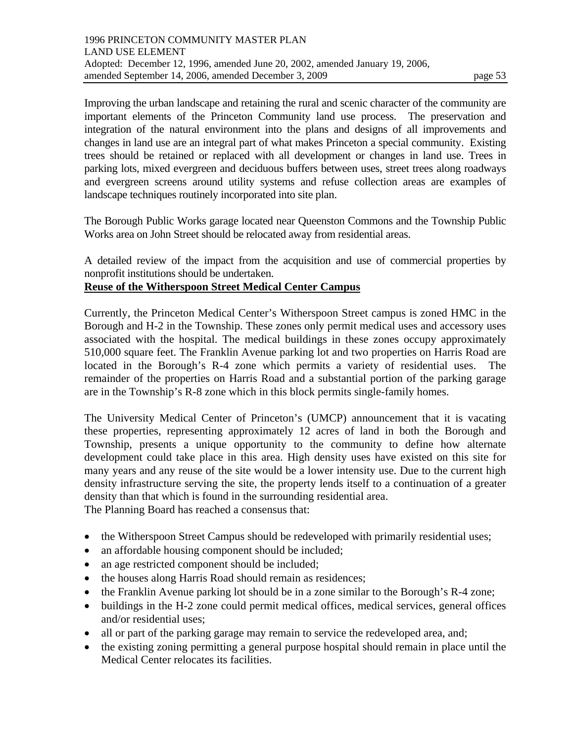Improving the urban landscape and retaining the rural and scenic character of the community are important elements of the Princeton Community land use process. The preservation and integration of the natural environment into the plans and designs of all improvements and changes in land use are an integral part of what makes Princeton a special community. Existing trees should be retained or replaced with all development or changes in land use. Trees in parking lots, mixed evergreen and deciduous buffers between uses, street trees along roadways and evergreen screens around utility systems and refuse collection areas are examples of landscape techniques routinely incorporated into site plan.

The Borough Public Works garage located near Queenston Commons and the Township Public Works area on John Street should be relocated away from residential areas.

A detailed review of the impact from the acquisition and use of commercial properties by nonprofit institutions should be undertaken.

#### **Reuse of the Witherspoon Street Medical Center Campus**

Currently, the Princeton Medical Center's Witherspoon Street campus is zoned HMC in the Borough and H-2 in the Township. These zones only permit medical uses and accessory uses associated with the hospital. The medical buildings in these zones occupy approximately 510,000 square feet. The Franklin Avenue parking lot and two properties on Harris Road are located in the Borough's R-4 zone which permits a variety of residential uses. The remainder of the properties on Harris Road and a substantial portion of the parking garage are in the Township's R-8 zone which in this block permits single-family homes.

The University Medical Center of Princeton's (UMCP) announcement that it is vacating these properties, representing approximately 12 acres of land in both the Borough and Township, presents a unique opportunity to the community to define how alternate development could take place in this area. High density uses have existed on this site for many years and any reuse of the site would be a lower intensity use. Due to the current high density infrastructure serving the site, the property lends itself to a continuation of a greater density than that which is found in the surrounding residential area.

The Planning Board has reached a consensus that:

- the Witherspoon Street Campus should be redeveloped with primarily residential uses;
- an affordable housing component should be included;
- an age restricted component should be included;
- the houses along Harris Road should remain as residences;
- the Franklin Avenue parking lot should be in a zone similar to the Borough's R-4 zone;
- buildings in the H-2 zone could permit medical offices, medical services, general offices and/or residential uses;
- all or part of the parking garage may remain to service the redeveloped area, and;
- the existing zoning permitting a general purpose hospital should remain in place until the Medical Center relocates its facilities.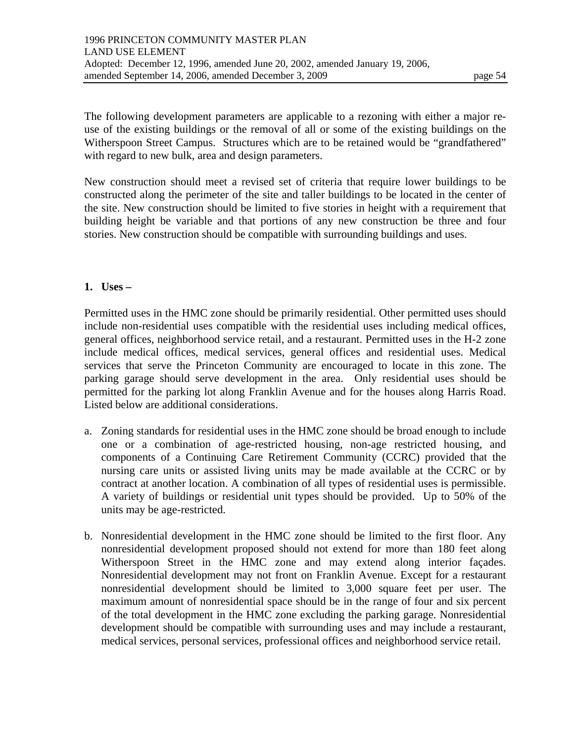The following development parameters are applicable to a rezoning with either a major reuse of the existing buildings or the removal of all or some of the existing buildings on the Witherspoon Street Campus. Structures which are to be retained would be "grandfathered" with regard to new bulk, area and design parameters.

New construction should meet a revised set of criteria that require lower buildings to be constructed along the perimeter of the site and taller buildings to be located in the center of the site. New construction should be limited to five stories in height with a requirement that building height be variable and that portions of any new construction be three and four stories. New construction should be compatible with surrounding buildings and uses.

#### **1. Uses –**

Permitted uses in the HMC zone should be primarily residential. Other permitted uses should include non-residential uses compatible with the residential uses including medical offices, general offices, neighborhood service retail, and a restaurant. Permitted uses in the H-2 zone include medical offices, medical services, general offices and residential uses. Medical services that serve the Princeton Community are encouraged to locate in this zone. The parking garage should serve development in the area. Only residential uses should be permitted for the parking lot along Franklin Avenue and for the houses along Harris Road. Listed below are additional considerations.

- a. Zoning standards for residential uses in the HMC zone should be broad enough to include one or a combination of age-restricted housing, non-age restricted housing, and components of a Continuing Care Retirement Community (CCRC) provided that the nursing care units or assisted living units may be made available at the CCRC or by contract at another location. A combination of all types of residential uses is permissible. A variety of buildings or residential unit types should be provided. Up to 50% of the units may be age-restricted.
- b. Nonresidential development in the HMC zone should be limited to the first floor. Any nonresidential development proposed should not extend for more than 180 feet along Witherspoon Street in the HMC zone and may extend along interior façades. Nonresidential development may not front on Franklin Avenue. Except for a restaurant nonresidential development should be limited to 3,000 square feet per user. The maximum amount of nonresidential space should be in the range of four and six percent of the total development in the HMC zone excluding the parking garage. Nonresidential development should be compatible with surrounding uses and may include a restaurant, medical services, personal services, professional offices and neighborhood service retail.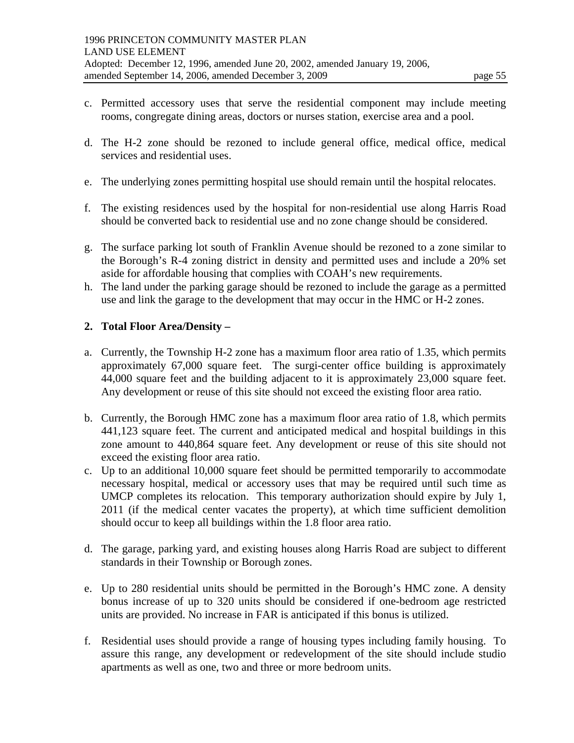- c. Permitted accessory uses that serve the residential component may include meeting rooms, congregate dining areas, doctors or nurses station, exercise area and a pool.
- d. The H-2 zone should be rezoned to include general office, medical office, medical services and residential uses.
- e. The underlying zones permitting hospital use should remain until the hospital relocates.
- f. The existing residences used by the hospital for non-residential use along Harris Road should be converted back to residential use and no zone change should be considered.
- g. The surface parking lot south of Franklin Avenue should be rezoned to a zone similar to the Borough's R-4 zoning district in density and permitted uses and include a 20% set aside for affordable housing that complies with COAH's new requirements.
- h. The land under the parking garage should be rezoned to include the garage as a permitted use and link the garage to the development that may occur in the HMC or H-2 zones.

#### **2. Total Floor Area/Density –**

- a. Currently, the Township H-2 zone has a maximum floor area ratio of 1.35, which permits approximately 67,000 square feet. The surgi-center office building is approximately 44,000 square feet and the building adjacent to it is approximately 23,000 square feet. Any development or reuse of this site should not exceed the existing floor area ratio.
- b. Currently, the Borough HMC zone has a maximum floor area ratio of 1.8, which permits 441,123 square feet. The current and anticipated medical and hospital buildings in this zone amount to 440,864 square feet. Any development or reuse of this site should not exceed the existing floor area ratio.
- c. Up to an additional 10,000 square feet should be permitted temporarily to accommodate necessary hospital, medical or accessory uses that may be required until such time as UMCP completes its relocation. This temporary authorization should expire by July 1, 2011 (if the medical center vacates the property), at which time sufficient demolition should occur to keep all buildings within the 1.8 floor area ratio.
- d. The garage, parking yard, and existing houses along Harris Road are subject to different standards in their Township or Borough zones.
- e. Up to 280 residential units should be permitted in the Borough's HMC zone. A density bonus increase of up to 320 units should be considered if one-bedroom age restricted units are provided. No increase in FAR is anticipated if this bonus is utilized.
- f. Residential uses should provide a range of housing types including family housing. To assure this range, any development or redevelopment of the site should include studio apartments as well as one, two and three or more bedroom units.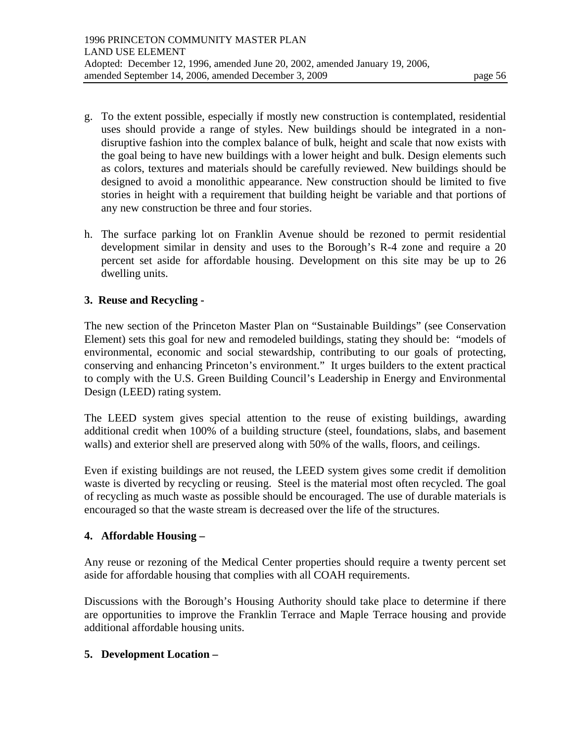- g. To the extent possible, especially if mostly new construction is contemplated, residential uses should provide a range of styles. New buildings should be integrated in a nondisruptive fashion into the complex balance of bulk, height and scale that now exists with the goal being to have new buildings with a lower height and bulk. Design elements such as colors, textures and materials should be carefully reviewed. New buildings should be designed to avoid a monolithic appearance. New construction should be limited to five stories in height with a requirement that building height be variable and that portions of any new construction be three and four stories.
- h. The surface parking lot on Franklin Avenue should be rezoned to permit residential development similar in density and uses to the Borough's R-4 zone and require a 20 percent set aside for affordable housing. Development on this site may be up to 26 dwelling units.

### **3. Reuse and Recycling -**

The new section of the Princeton Master Plan on "Sustainable Buildings" (see Conservation Element) sets this goal for new and remodeled buildings, stating they should be: "models of environmental, economic and social stewardship, contributing to our goals of protecting, conserving and enhancing Princeton's environment." It urges builders to the extent practical to comply with the U.S. Green Building Council's Leadership in Energy and Environmental Design (LEED) rating system.

The LEED system gives special attention to the reuse of existing buildings, awarding additional credit when 100% of a building structure (steel, foundations, slabs, and basement walls) and exterior shell are preserved along with 50% of the walls, floors, and ceilings.

Even if existing buildings are not reused, the LEED system gives some credit if demolition waste is diverted by recycling or reusing. Steel is the material most often recycled. The goal of recycling as much waste as possible should be encouraged. The use of durable materials is encouraged so that the waste stream is decreased over the life of the structures.

### **4. Affordable Housing –**

Any reuse or rezoning of the Medical Center properties should require a twenty percent set aside for affordable housing that complies with all COAH requirements.

Discussions with the Borough's Housing Authority should take place to determine if there are opportunities to improve the Franklin Terrace and Maple Terrace housing and provide additional affordable housing units.

### **5. Development Location –**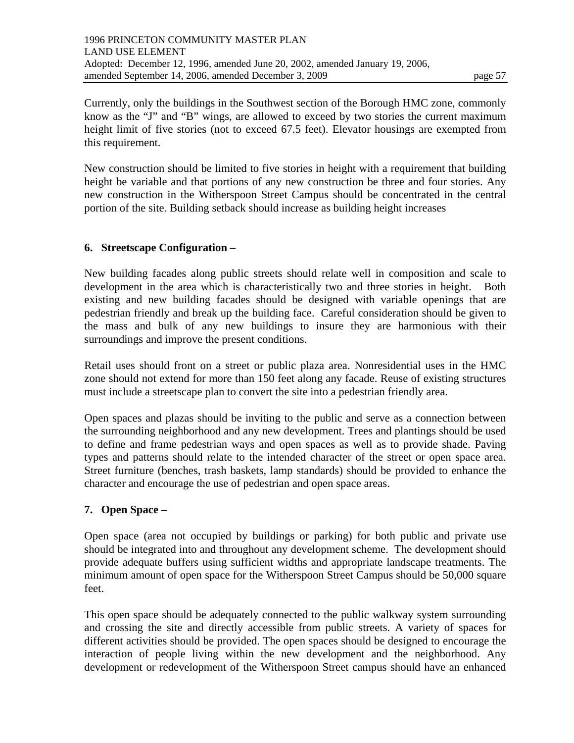New construction should be limited to five stories in height with a requirement that building height be variable and that portions of any new construction be three and four stories. Any new construction in the Witherspoon Street Campus should be concentrated in the central portion of the site. Building setback should increase as building height increases

## **6. Streetscape Configuration –**

New building facades along public streets should relate well in composition and scale to development in the area which is characteristically two and three stories in height. Both existing and new building facades should be designed with variable openings that are pedestrian friendly and break up the building face. Careful consideration should be given to the mass and bulk of any new buildings to insure they are harmonious with their surroundings and improve the present conditions.

Retail uses should front on a street or public plaza area. Nonresidential uses in the HMC zone should not extend for more than 150 feet along any facade. Reuse of existing structures must include a streetscape plan to convert the site into a pedestrian friendly area.

Open spaces and plazas should be inviting to the public and serve as a connection between the surrounding neighborhood and any new development. Trees and plantings should be used to define and frame pedestrian ways and open spaces as well as to provide shade. Paving types and patterns should relate to the intended character of the street or open space area. Street furniture (benches, trash baskets, lamp standards) should be provided to enhance the character and encourage the use of pedestrian and open space areas.

# **7. Open Space –**

Open space (area not occupied by buildings or parking) for both public and private use should be integrated into and throughout any development scheme. The development should provide adequate buffers using sufficient widths and appropriate landscape treatments. The minimum amount of open space for the Witherspoon Street Campus should be 50,000 square feet.

This open space should be adequately connected to the public walkway system surrounding and crossing the site and directly accessible from public streets. A variety of spaces for different activities should be provided. The open spaces should be designed to encourage the interaction of people living within the new development and the neighborhood. Any development or redevelopment of the Witherspoon Street campus should have an enhanced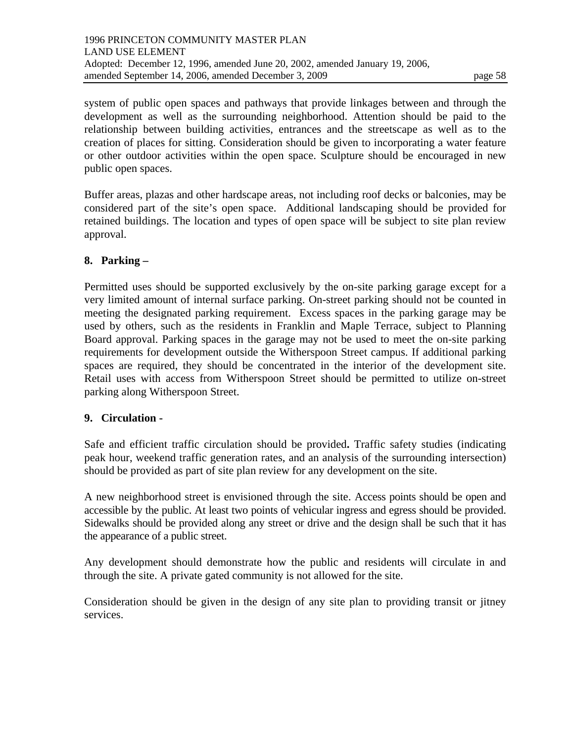system of public open spaces and pathways that provide linkages between and through the development as well as the surrounding neighborhood. Attention should be paid to the relationship between building activities, entrances and the streetscape as well as to the creation of places for sitting. Consideration should be given to incorporating a water feature or other outdoor activities within the open space. Sculpture should be encouraged in new public open spaces.

Buffer areas, plazas and other hardscape areas, not including roof decks or balconies, may be considered part of the site's open space. Additional landscaping should be provided for retained buildings. The location and types of open space will be subject to site plan review approval.

#### **8. Parking –**

Permitted uses should be supported exclusively by the on-site parking garage except for a very limited amount of internal surface parking. On-street parking should not be counted in meeting the designated parking requirement. Excess spaces in the parking garage may be used by others, such as the residents in Franklin and Maple Terrace, subject to Planning Board approval. Parking spaces in the garage may not be used to meet the on-site parking requirements for development outside the Witherspoon Street campus. If additional parking spaces are required, they should be concentrated in the interior of the development site. Retail uses with access from Witherspoon Street should be permitted to utilize on-street parking along Witherspoon Street.

### **9. Circulation -**

Safe and efficient traffic circulation should be provided**.** Traffic safety studies (indicating peak hour, weekend traffic generation rates, and an analysis of the surrounding intersection) should be provided as part of site plan review for any development on the site.

A new neighborhood street is envisioned through the site. Access points should be open and accessible by the public. At least two points of vehicular ingress and egress should be provided. Sidewalks should be provided along any street or drive and the design shall be such that it has the appearance of a public street.

Any development should demonstrate how the public and residents will circulate in and through the site. A private gated community is not allowed for the site.

Consideration should be given in the design of any site plan to providing transit or jitney services.